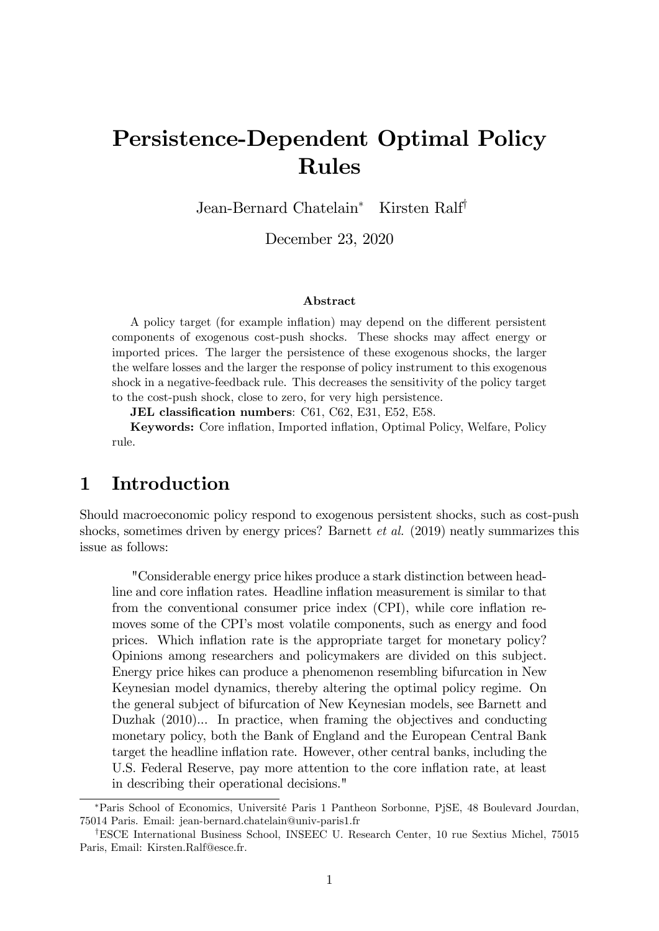# Persistence-Dependent Optimal Policy Rules

Jean-Bernard Chatelain<sup>\*</sup> Kirsten Ralf<sup>†</sup>

December 23, 2020

#### Abstract

A policy target (for example inflation) may depend on the different persistent components of exogenous cost-push shocks. These shocks may affect energy or imported prices. The larger the persistence of these exogenous shocks, the larger the welfare losses and the larger the response of policy instrument to this exogenous shock in a negative-feedback rule. This decreases the sensitivity of the policy target to the cost-push shock, close to zero, for very high persistence.

JEL classification numbers: C61, C62, E31, E52, E58.

Keywords: Core ináation, Imported ináation, Optimal Policy, Welfare, Policy rule.

### 1 Introduction

Should macroeconomic policy respond to exogenous persistent shocks, such as cost-push shocks, sometimes driven by energy prices? Barnett *et al.* (2019) neatly summarizes this issue as follows:

"Considerable energy price hikes produce a stark distinction between headline and core inflation rates. Headline inflation measurement is similar to that from the conventional consumer price index  $(CPI)$ , while core inflation removes some of the CPI's most volatile components, such as energy and food prices. Which ináation rate is the appropriate target for monetary policy? Opinions among researchers and policymakers are divided on this subject. Energy price hikes can produce a phenomenon resembling bifurcation in New Keynesian model dynamics, thereby altering the optimal policy regime. On the general subject of bifurcation of New Keynesian models, see Barnett and Duzhak (2010)... In practice, when framing the objectives and conducting monetary policy, both the Bank of England and the European Central Bank target the headline inflation rate. However, other central banks, including the U.S. Federal Reserve, pay more attention to the core inflation rate, at least in describing their operational decisions."

<sup>\*</sup>Paris School of Economics, Université Paris 1 Pantheon Sorbonne, PjSE, 48 Boulevard Jourdan, 75014 Paris. Email: jean-bernard.chatelain@univ-paris1.fr

<sup>&</sup>lt;sup>†</sup>ESCE International Business School, INSEEC U. Research Center, 10 rue Sextius Michel, 75015 Paris, Email: Kirsten.Ralf@esce.fr.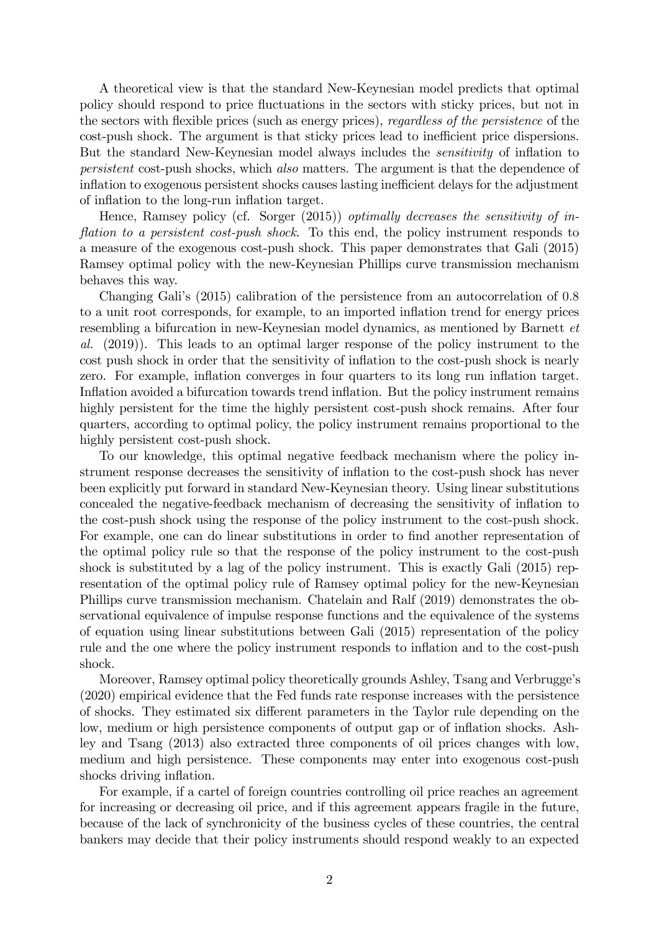A theoretical view is that the standard New-Keynesian model predicts that optimal policy should respond to price fluctuations in the sectors with sticky prices, but not in the sectors with flexible prices (such as energy prices), regardless of the persistence of the cost-push shock. The argument is that sticky prices lead to inefficient price dispersions. But the standard New-Keynesian model always includes the *sensitivity* of inflation to persistent cost-push shocks, which also matters. The argument is that the dependence of inflation to exogenous persistent shocks causes lasting inefficient delays for the adjustment of inflation to the long-run inflation target.

Hence, Ramsey policy (cf. Sorger (2015)) *optimally decreases the sensitivity of in*flation to a persistent cost-push shock. To this end, the policy instrument responds to a measure of the exogenous cost-push shock. This paper demonstrates that Gali (2015) Ramsey optimal policy with the new-Keynesian Phillips curve transmission mechanism behaves this way.

Changing Galiís (2015) calibration of the persistence from an autocorrelation of 0:8 to a unit root corresponds, for example, to an imported inflation trend for energy prices resembling a bifurcation in new-Keynesian model dynamics, as mentioned by Barnett et al. (2019)). This leads to an optimal larger response of the policy instrument to the cost push shock in order that the sensitivity of inflation to the cost-push shock is nearly zero. For example, inflation converges in four quarters to its long run inflation target. Inflation avoided a bifurcation towards trend inflation. But the policy instrument remains highly persistent for the time the highly persistent cost-push shock remains. After four quarters, according to optimal policy, the policy instrument remains proportional to the highly persistent cost-push shock.

To our knowledge, this optimal negative feedback mechanism where the policy instrument response decreases the sensitivity of inflation to the cost-push shock has never been explicitly put forward in standard New-Keynesian theory. Using linear substitutions concealed the negative-feedback mechanism of decreasing the sensitivity of ináation to the cost-push shock using the response of the policy instrument to the cost-push shock. For example, one can do linear substitutions in order to find another representation of the optimal policy rule so that the response of the policy instrument to the cost-push shock is substituted by a lag of the policy instrument. This is exactly Gali (2015) representation of the optimal policy rule of Ramsey optimal policy for the new-Keynesian Phillips curve transmission mechanism. Chatelain and Ralf (2019) demonstrates the observational equivalence of impulse response functions and the equivalence of the systems of equation using linear substitutions between Gali (2015) representation of the policy rule and the one where the policy instrument responds to inflation and to the cost-push shock.

Moreover, Ramsey optimal policy theoretically grounds Ashley, Tsang and Verbrugge's (2020) empirical evidence that the Fed funds rate response increases with the persistence of shocks. They estimated six different parameters in the Taylor rule depending on the low, medium or high persistence components of output gap or of inflation shocks. Ashley and Tsang (2013) also extracted three components of oil prices changes with low, medium and high persistence. These components may enter into exogenous cost-push shocks driving inflation.

For example, if a cartel of foreign countries controlling oil price reaches an agreement for increasing or decreasing oil price, and if this agreement appears fragile in the future, because of the lack of synchronicity of the business cycles of these countries, the central bankers may decide that their policy instruments should respond weakly to an expected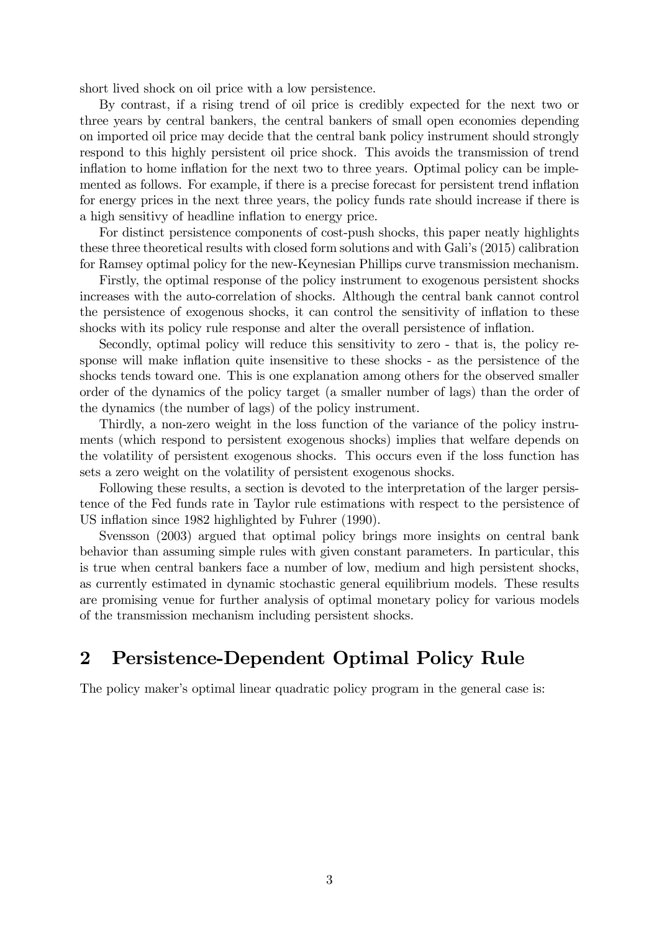short lived shock on oil price with a low persistence.

By contrast, if a rising trend of oil price is credibly expected for the next two or three years by central bankers, the central bankers of small open economies depending on imported oil price may decide that the central bank policy instrument should strongly respond to this highly persistent oil price shock. This avoids the transmission of trend inflation to home inflation for the next two to three years. Optimal policy can be implemented as follows. For example, if there is a precise forecast for persistent trend ináation for energy prices in the next three years, the policy funds rate should increase if there is a high sensitivy of headline inflation to energy price.

For distinct persistence components of cost-push shocks, this paper neatly highlights these three theoretical results with closed form solutions and with Galiís (2015) calibration for Ramsey optimal policy for the new-Keynesian Phillips curve transmission mechanism.

Firstly, the optimal response of the policy instrument to exogenous persistent shocks increases with the auto-correlation of shocks. Although the central bank cannot control the persistence of exogenous shocks, it can control the sensitivity of ináation to these shocks with its policy rule response and alter the overall persistence of inflation.

Secondly, optimal policy will reduce this sensitivity to zero - that is, the policy response will make inflation quite insensitive to these shocks - as the persistence of the shocks tends toward one. This is one explanation among others for the observed smaller order of the dynamics of the policy target (a smaller number of lags) than the order of the dynamics (the number of lags) of the policy instrument.

Thirdly, a non-zero weight in the loss function of the variance of the policy instruments (which respond to persistent exogenous shocks) implies that welfare depends on the volatility of persistent exogenous shocks. This occurs even if the loss function has sets a zero weight on the volatility of persistent exogenous shocks.

Following these results, a section is devoted to the interpretation of the larger persistence of the Fed funds rate in Taylor rule estimations with respect to the persistence of US inflation since 1982 highlighted by Fuhrer (1990).

Svensson (2003) argued that optimal policy brings more insights on central bank behavior than assuming simple rules with given constant parameters. In particular, this is true when central bankers face a number of low, medium and high persistent shocks, as currently estimated in dynamic stochastic general equilibrium models. These results are promising venue for further analysis of optimal monetary policy for various models of the transmission mechanism including persistent shocks.

### 2 Persistence-Dependent Optimal Policy Rule

The policy maker's optimal linear quadratic policy program in the general case is: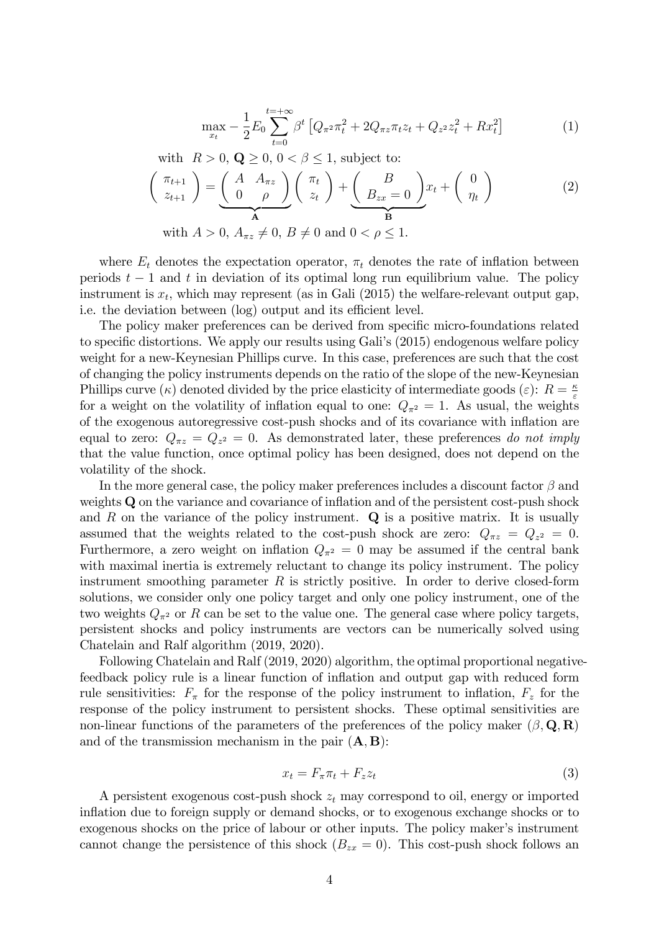$$
\max_{x_t} -\frac{1}{2} E_0 \sum_{t=0}^{t=+\infty} \beta^t \left[ Q_{\pi^2} \pi_t^2 + 2Q_{\pi z} \pi_t z_t + Q_{z^2} z_t^2 + R x_t^2 \right] \tag{1}
$$

with 
$$
R > 0
$$
,  $\mathbf{Q} \ge 0$ ,  $0 < \beta \le 1$ , subject to:  
\n
$$
\begin{pmatrix} \pi_{t+1} \\ z_{t+1} \end{pmatrix} = \underbrace{\begin{pmatrix} A & A_{\pi z} \\ 0 & \rho \end{pmatrix}}_{\mathbf{A}} \begin{pmatrix} \pi_t \\ z_t \end{pmatrix} + \underbrace{\begin{pmatrix} B \\ B_{zx} = 0 \end{pmatrix}}_{\mathbf{B}} x_t + \begin{pmatrix} 0 \\ \eta_t \end{pmatrix}
$$
\nwith  $A > 0$ ,  $A_{\pi z} \ne 0$ ,  $B \ne 0$  and  $0 < \rho \le 1$ . (2)

where  $E_t$  denotes the expectation operator,  $\pi_t$  denotes the rate of inflation between periods  $t - 1$  and t in deviation of its optimal long run equilibrium value. The policy instrument is  $x_t$ , which may represent (as in Gali (2015) the welfare-relevant output gap, i.e. the deviation between (log) output and its efficient level.

The policy maker preferences can be derived from specific micro-foundations related to specific distortions. We apply our results using Gali's (2015) endogenous welfare policy weight for a new-Keynesian Phillips curve. In this case, preferences are such that the cost of changing the policy instruments depends on the ratio of the slope of the new-Keynesian Phillips curve ( $\kappa$ ) denoted divided by the price elasticity of intermediate goods ( $\varepsilon$ ):  $R = \frac{\kappa}{\varepsilon}$  $\varepsilon$ for a weight on the volatility of inflation equal to one:  $Q_{\pi^2} = 1$ . As usual, the weights of the exogenous autoregressive cost-push shocks and of its covariance with ináation are equal to zero:  $Q_{\pi z} = Q_{z^2} = 0$ . As demonstrated later, these preferences do not imply that the value function, once optimal policy has been designed, does not depend on the volatility of the shock.

In the more general case, the policy maker preferences includes a discount factor  $\beta$  and weights Q on the variance and covariance of inflation and of the persistent cost-push shock and  $R$  on the variance of the policy instrument.  $Q$  is a positive matrix. It is usually assumed that the weights related to the cost-push shock are zero:  $Q_{\pi z} = Q_{z^2} = 0$ . Furthermore, a zero weight on inflation  $Q_{\pi^2} = 0$  may be assumed if the central bank with maximal inertia is extremely reluctant to change its policy instrument. The policy instrument smoothing parameter  $R$  is strictly positive. In order to derive closed-form solutions, we consider only one policy target and only one policy instrument, one of the two weights  $Q_{\pi^2}$  or R can be set to the value one. The general case where policy targets, persistent shocks and policy instruments are vectors can be numerically solved using Chatelain and Ralf algorithm (2019, 2020).

Following Chatelain and Ralf (2019, 2020) algorithm, the optimal proportional negativefeedback policy rule is a linear function of inflation and output gap with reduced form rule sensitivities:  $F_{\pi}$  for the response of the policy instrument to inflation,  $F_{z}$  for the response of the policy instrument to persistent shocks. These optimal sensitivities are non-linear functions of the parameters of the preferences of the policy maker  $(\beta, \mathbf{Q}, \mathbf{R})$ and of the transmission mechanism in the pair  $(A, B)$ :

$$
x_t = F_{\pi}\pi_t + F_z z_t \tag{3}
$$

A persistent exogenous cost-push shock  $z_t$  may correspond to oil, energy or imported inflation due to foreign supply or demand shocks, or to exogenous exchange shocks or to exogenous shocks on the price of labour or other inputs. The policy maker's instrument cannot change the persistence of this shock  $(B_{zx} = 0)$ . This cost-push shock follows an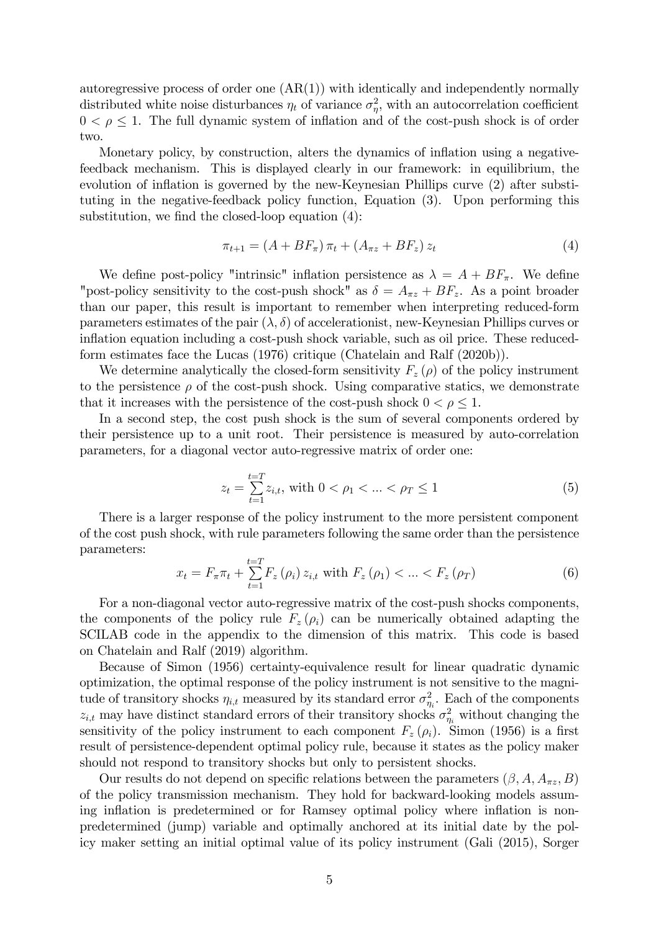autoregressive process of order one  $(AR(1))$  with identically and independently normally distributed white noise disturbances  $\eta_t$  of variance  $\sigma_{\eta}^2$ , with an autocorrelation coefficient  $0 < \rho \leq 1$ . The full dynamic system of inflation and of the cost-push shock is of order two.

Monetary policy, by construction, alters the dynamics of inflation using a negativefeedback mechanism. This is displayed clearly in our framework: in equilibrium, the evolution of inflation is governed by the new-Keynesian Phillips curve (2) after substituting in the negative-feedback policy function, Equation (3). Upon performing this substitution, we find the closed-loop equation  $(4)$ :

$$
\pi_{t+1} = (A + BF_{\pi}) \pi_t + (A_{\pi z} + BF_z) z_t \tag{4}
$$

We define post-policy "intrinsic" inflation persistence as  $\lambda = A + BF_{\pi}$ . We define "post-policy sensitivity to the cost-push shock" as  $\delta = A_{\pi z} + BF_z$ . As a point broader than our paper, this result is important to remember when interpreting reduced-form parameters estimates of the pair  $(\lambda, \delta)$  of accelerationist, new-Keynesian Phillips curves or inflation equation including a cost-push shock variable, such as oil price. These reducedform estimates face the Lucas (1976) critique (Chatelain and Ralf (2020b)).

We determine analytically the closed-form sensitivity  $F_z(\rho)$  of the policy instrument to the persistence  $\rho$  of the cost-push shock. Using comparative statics, we demonstrate that it increases with the persistence of the cost-push shock  $0 < \rho \leq 1$ .

In a second step, the cost push shock is the sum of several components ordered by their persistence up to a unit root. Their persistence is measured by auto-correlation parameters, for a diagonal vector auto-regressive matrix of order one:

$$
z_t = \sum_{t=1}^{t=T} z_{i,t}, \text{ with } 0 < \rho_1 < \dots < \rho_T \le 1 \tag{5}
$$

There is a larger response of the policy instrument to the more persistent component of the cost push shock, with rule parameters following the same order than the persistence parameters:

$$
x_{t} = F_{\pi}\pi_{t} + \sum_{t=1}^{t=T} F_{z}(\rho_{i}) \, z_{i,t} \text{ with } F_{z}(\rho_{1}) < \ldots < F_{z}(\rho_{T}) \tag{6}
$$

For a non-diagonal vector auto-regressive matrix of the cost-push shocks components, the components of the policy rule  $F_z(\rho_i)$  can be numerically obtained adapting the SCILAB code in the appendix to the dimension of this matrix. This code is based on Chatelain and Ralf (2019) algorithm.

Because of Simon (1956) certainty-equivalence result for linear quadratic dynamic optimization, the optimal response of the policy instrument is not sensitive to the magnitude of transitory shocks  $\eta_{i,t}$  measured by its standard error  $\sigma_{\eta_i}^2$ . Each of the components  $z_{i,t}$  may have distinct standard errors of their transitory shocks  $\sigma_{\eta_i}^2$  without changing the sensitivity of the policy instrument to each component  $F_z(\rho_i)$ . Simon (1956) is a first result of persistence-dependent optimal policy rule, because it states as the policy maker should not respond to transitory shocks but only to persistent shocks.

Our results do not depend on specific relations between the parameters  $(\beta, A, A_{\pi z}, B)$ of the policy transmission mechanism. They hold for backward-looking models assuming inflation is predetermined or for Ramsey optimal policy where inflation is nonpredetermined (jump) variable and optimally anchored at its initial date by the policy maker setting an initial optimal value of its policy instrument (Gali (2015), Sorger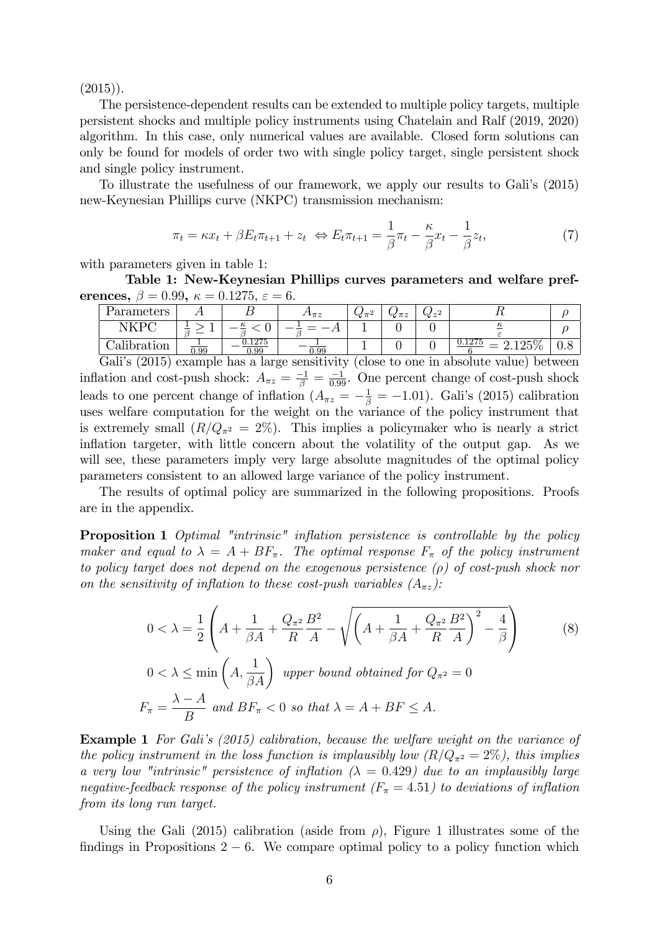$(2015)$ .

The persistence-dependent results can be extended to multiple policy targets, multiple persistent shocks and multiple policy instruments using Chatelain and Ralf (2019, 2020) algorithm. In this case, only numerical values are available. Closed form solutions can only be found for models of order two with single policy target, single persistent shock and single policy instrument.

To illustrate the usefulness of our framework, we apply our results to Galiís (2015) new-Keynesian Phillips curve (NKPC) transmission mechanism:

$$
\pi_t = \kappa x_t + \beta E_t \pi_{t+1} + z_t \iff E_t \pi_{t+1} = \frac{1}{\beta} \pi_t - \frac{\kappa}{\beta} x_t - \frac{1}{\beta} z_t,\tag{7}
$$

with parameters given in table 1:

Table 1: New-Keynesian Phillips curves parameters and welfare preferences,  $\beta = 0.99$ ,  $\kappa = 0.1275$ ,  $\varepsilon = 6$ .

| Parameters         |      |              | $4\mathbf{1}\pi z$ | $\propto \pi$ | $\propto \pi z$ | $\alpha z^2$ | ∸€      |  |
|--------------------|------|--------------|--------------------|---------------|-----------------|--------------|---------|--|
| VKP                |      | $\kappa$     |                    |               |                 |              | к       |  |
| 111<br>Jalibration | 0.99 | .275<br>1.99 | 0.99               |               |                 |              | 2.120/0 |  |

Gali's (2015) example has a large sensitivity (close to one in absolute value) between inflation and cost-push shock:  $A_{\pi z} = \frac{-1}{\beta} = \frac{-1}{0.99}$ . One percent change of cost-push shock leads to one percent change of inflation  $(A_{\pi z} = -\frac{1}{\beta} = -1.01)$ . Gali's (2015) calibration uses welfare computation for the weight on the variance of the policy instrument that is extremely small  $(R/Q_{\pi^2} = 2\%)$ . This implies a policymaker who is nearly a strict inflation targeter, with little concern about the volatility of the output gap. As we will see, these parameters imply very large absolute magnitudes of the optimal policy parameters consistent to an allowed large variance of the policy instrument.

The results of optimal policy are summarized in the following propositions. Proofs are in the appendix.

**Proposition 1** Optimal "intrinsic" inflation persistence is controllable by the policy maker and equal to  $\lambda = A + BF_{\pi}$ . The optimal response  $F_{\pi}$  of the policy instrument to policy target does not depend on the exogenous persistence  $(\rho)$  of cost-push shock nor on the sensitivity of inflation to these cost-push variables  $(A_{\pi z})$ :

$$
0 < \lambda = \frac{1}{2} \left( A + \frac{1}{\beta A} + \frac{Q_{\pi^2}}{R} \frac{B^2}{A} - \sqrt{\left( A + \frac{1}{\beta A} + \frac{Q_{\pi^2}}{R} \frac{B^2}{A} \right)^2 - \frac{4}{\beta}} \right)
$$
(8)  
 
$$
0 < \lambda \le \min \left( A, \frac{1}{\beta A} \right) \text{ upper bound obtained for } Q_{\pi^2} = 0
$$
  

$$
F_{\pi} = \frac{\lambda - A}{B} \text{ and } BF_{\pi} < 0 \text{ so that } \lambda = A + BF \le A.
$$

**Example 1** For Gali's (2015) calibration, because the welfare weight on the variance of the policy instrument in the loss function is implausibly low  $(R/Q_{\pi^2} = 2\%)$ , this implies a very low "intrinsic" persistence of inflation  $(\lambda = 0.429)$  due to an implausibly large negative-feedback response of the policy instrument  $(F_{\pi} = 4.51)$  to deviations of inflation from its long run target.

Using the Gali (2015) calibration (aside from  $\rho$ ), Figure 1 illustrates some of the findings in Propositions  $2 - 6$ . We compare optimal policy to a policy function which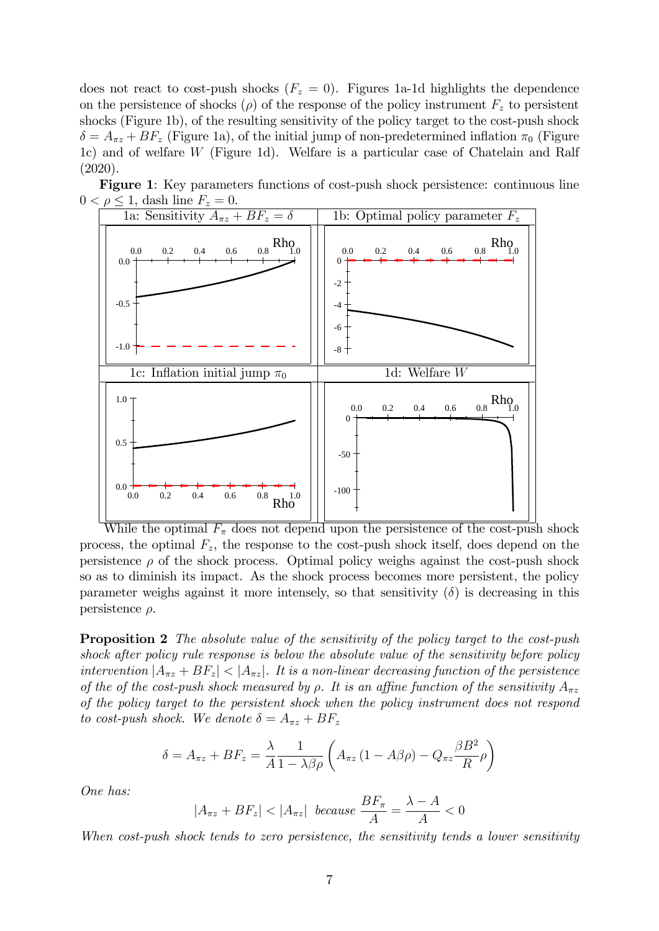does not react to cost-push shocks  $(F_z = 0)$ . Figures 1a-1d highlights the dependence on the persistence of shocks ( $\rho$ ) of the response of the policy instrument  $F_z$  to persistent shocks (Figure 1b), of the resulting sensitivity of the policy target to the cost-push shock  $\delta = A_{\pi z} + BF_z$  (Figure 1a), of the initial jump of non-predetermined inflation  $\pi_0$  (Figure 1c) and of welfare W (Figure 1d). Welfare is a particular case of Chatelain and Ralf (2020).



Figure 1: Key parameters functions of cost-push shock persistence: continuous line  $0 < \rho \leq 1$ , dash line  $F_z = 0$ .

While the optimal  $F_{\pi}$  does not depend upon the persistence of the cost-push shock process, the optimal  $F_z$ , the response to the cost-push shock itself, does depend on the persistence  $\rho$  of the shock process. Optimal policy weighs against the cost-push shock so as to diminish its impact. As the shock process becomes more persistent, the policy parameter weighs against it more intensely, so that sensitivity  $(\delta)$  is decreasing in this persistence  $\rho$ .

**Proposition 2** The absolute value of the sensitivity of the policy target to the cost-push shock after policy rule response is below the absolute value of the sensitivity before policy intervention  $|A_{\pi z} + BF_z| < |A_{\pi z}|$ . It is a non-linear decreasing function of the persistence of the of the cost-push shock measured by  $\rho$ . It is an affine function of the sensitivity  $A_{\pi z}$ of the policy target to the persistent shock when the policy instrument does not respond to cost-push shock. We denote  $\delta = A_{\pi z} + BF_z$ 

$$
\delta = A_{\pi z} + B F_z = \frac{\lambda}{A} \frac{1}{1 - \lambda \beta \rho} \left( A_{\pi z} \left( 1 - A \beta \rho \right) - Q_{\pi z} \frac{\beta B^2}{R} \rho \right)
$$

One has:

$$
|A_{\pi z} + BF_z| < |A_{\pi z}| \ \text{ because } \frac{BF_{\pi}}{A} = \frac{\lambda - A}{A} < 0
$$

When cost-push shock tends to zero persistence, the sensitivity tends a lower sensitivity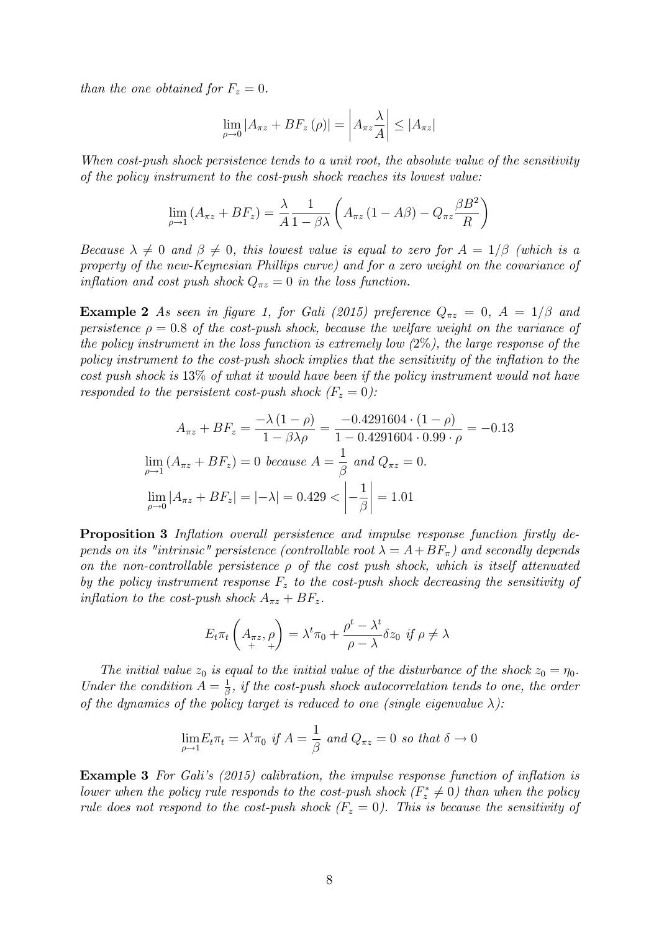than the one obtained for  $F_z = 0$ .

$$
\lim_{\rho \to 0} |A_{\pi z} + BF_z(\rho)| = \left| A_{\pi z} \frac{\lambda}{A} \right| \le |A_{\pi z}|
$$

When cost-push shock persistence tends to a unit root, the absolute value of the sensitivity of the policy instrument to the cost-push shock reaches its lowest value:

$$
\lim_{\rho \to 1} (A_{\pi z} + BF_z) = \frac{\lambda}{A} \frac{1}{1 - \beta \lambda} \left( A_{\pi z} (1 - A\beta) - Q_{\pi z} \frac{\beta B^2}{R} \right)
$$

Because  $\lambda \neq 0$  and  $\beta \neq 0$ , this lowest value is equal to zero for  $A = 1/\beta$  (which is a property of the new-Keynesian Phillips curve) and for a zero weight on the covariance of inflation and cost push shock  $Q_{\pi z} = 0$  in the loss function.

**Example 2** As seen in figure 1, for Gali (2015) preference  $Q_{\pi z} = 0$ ,  $A = 1/\beta$  and persistence  $\rho = 0.8$  of the cost-push shock, because the welfare weight on the variance of the policy instrument in the loss function is extremely low  $(2\%)$ , the large response of the policy instrument to the cost-push shock implies that the sensitivity of the inflation to the cost push shock is 13% of what it would have been if the policy instrument would not have responded to the persistent cost-push shock  $(F_z = 0)$ :

$$
A_{\pi z} + BF_z = \frac{-\lambda (1 - \rho)}{1 - \beta \lambda \rho} = \frac{-0.4291604 \cdot (1 - \rho)}{1 - 0.4291604 \cdot 0.99 \cdot \rho} = -0.13
$$
  

$$
\lim_{\rho \to 1} (A_{\pi z} + BF_z) = 0 \text{ because } A = \frac{1}{\beta} \text{ and } Q_{\pi z} = 0.
$$
  

$$
\lim_{\rho \to 0} |A_{\pi z} + BF_z| = |-\lambda| = 0.429 < \left| -\frac{1}{\beta} \right| = 1.01
$$

**Proposition 3** Inflation overall persistence and impulse response function firstly depends on its "intrinsic" persistence (controllable root  $\lambda = A + BF_{\pi}$ ) and secondly depends on the non-controllable persistence  $\rho$  of the cost push shock, which is itself attenuated by the policy instrument response  $F_z$  to the cost-push shock decreasing the sensitivity of inflation to the cost-push shock  $A_{\pi z} + BF_z$ .

$$
E_t \pi_t \left( A_{\pi z}, \rho \right) = \lambda^t \pi_0 + \frac{\rho^t - \lambda^t}{\rho - \lambda} \delta z_0 \text{ if } \rho \neq \lambda
$$

The initial value  $z_0$  is equal to the initial value of the disturbance of the shock  $z_0 = \eta_0$ . Under the condition  $A = \frac{1}{\beta}$  $\frac{1}{\beta}$ , if the cost-push shock autocorrelation tends to one, the order of the dynamics of the policy target is reduced to one (single eigenvalue  $\lambda$ ):

$$
\lim_{\rho \to 1} E_t \pi_t = \lambda^t \pi_0 \text{ if } A = \frac{1}{\beta} \text{ and } Q_{\pi z} = 0 \text{ so that } \delta \to 0
$$

**Example 3** For Gali's  $(2015)$  calibration, the impulse response function of inflation is lower when the policy rule responds to the cost-push shock  $(F_z^* \neq 0)$  than when the policy rule does not respond to the cost-push shock  $(F_z = 0)$ . This is because the sensitivity of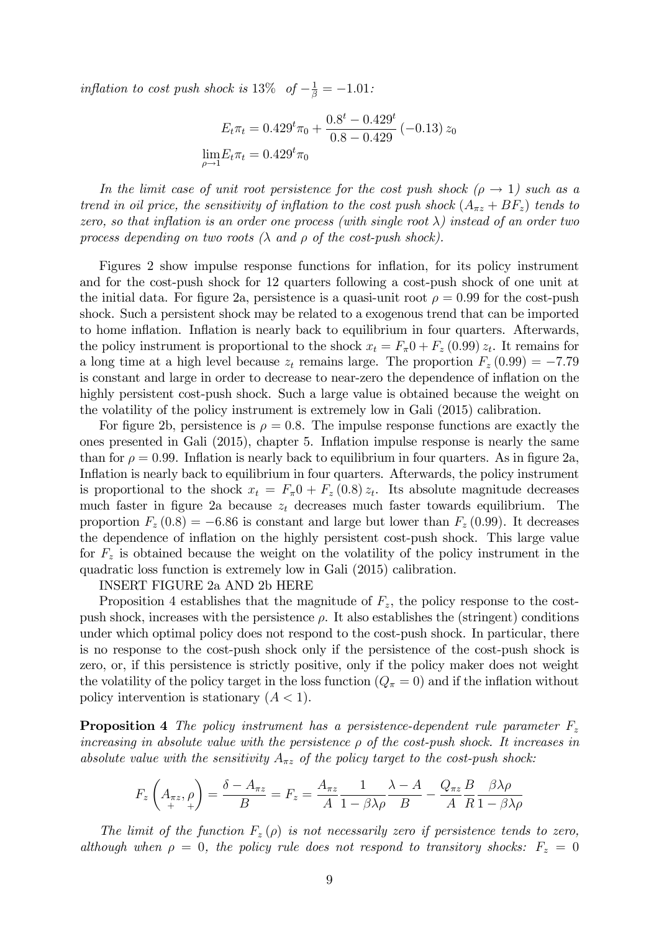inflation to cost push shock is  $13\%$  of  $-\frac{1}{\beta} = -1.01$ :

$$
E_t \pi_t = 0.429^t \pi_0 + \frac{0.8^t - 0.429^t}{0.8 - 0.429} (-0.13) z_0
$$
  

$$
\lim_{\rho \to 1} E_t \pi_t = 0.429^t \pi_0
$$

In the limit case of unit root persistence for the cost push shock ( $\rho \rightarrow 1$ ) such as a trend in oil price, the sensitivity of inflation to the cost push shock  $(A_{\pi z} + BF_z)$  tends to zero, so that inflation is an order one process (with single root  $\lambda$ ) instead of an order two process depending on two roots  $(\lambda \text{ and } \rho \text{ of the cost-push shock}).$ 

Figures 2 show impulse response functions for inflation, for its policy instrument and for the cost-push shock for 12 quarters following a cost-push shock of one unit at the initial data. For figure 2a, persistence is a quasi-unit root  $\rho = 0.99$  for the cost-push shock. Such a persistent shock may be related to a exogenous trend that can be imported to home inflation. Inflation is nearly back to equilibrium in four quarters. Afterwards, the policy instrument is proportional to the shock  $x_t = F_{\pi}0 + F_z (0.99) z_t$ . It remains for a long time at a high level because  $z_t$  remains large. The proportion  $F_z(0.99) = -7.79$ is constant and large in order to decrease to near-zero the dependence of inflation on the highly persistent cost-push shock. Such a large value is obtained because the weight on the volatility of the policy instrument is extremely low in Gali (2015) calibration.

For figure 2b, persistence is  $\rho = 0.8$ . The impulse response functions are exactly the ones presented in Gali (2015), chapter 5. Ináation impulse response is nearly the same than for  $\rho = 0.99$ . Inflation is nearly back to equilibrium in four quarters. As in figure 2a, Inflation is nearly back to equilibrium in four quarters. Afterwards, the policy instrument is proportional to the shock  $x_t = F_{\pi}0 + F_z(0.8) z_t$ . Its absolute magnitude decreases much faster in figure 2a because  $z_t$  decreases much faster towards equilibrium. The proportion  $F_z(0.8) = -6.86$  is constant and large but lower than  $F_z(0.99)$ . It decreases the dependence of ináation on the highly persistent cost-push shock. This large value for  $F<sub>z</sub>$  is obtained because the weight on the volatility of the policy instrument in the quadratic loss function is extremely low in Gali (2015) calibration.

INSERT FIGURE 2a AND 2b HERE

Proposition 4 establishes that the magnitude of  $F_z$ , the policy response to the costpush shock, increases with the persistence  $\rho$ . It also establishes the (stringent) conditions under which optimal policy does not respond to the cost-push shock. In particular, there is no response to the cost-push shock only if the persistence of the cost-push shock is zero, or, if this persistence is strictly positive, only if the policy maker does not weight the volatility of the policy target in the loss function  $(Q_{\pi} = 0)$  and if the inflation without policy intervention is stationary  $(A < 1)$ .

**Proposition 4** The policy instrument has a persistence-dependent rule parameter  $F_z$ increasing in absolute value with the persistence  $\rho$  of the cost-push shock. It increases in absolute value with the sensitivity  $A_{\pi z}$  of the policy target to the cost-push shock:

$$
F_z \left(A_{\pi z}, \rho \right) = \frac{\delta - A_{\pi z}}{B} = F_z = \frac{A_{\pi z}}{A} \frac{1}{1 - \beta \lambda \rho} \frac{\lambda - A}{B} - \frac{Q_{\pi z}}{A} \frac{B}{R} \frac{\beta \lambda \rho}{1 - \beta \lambda \rho}
$$

The limit of the function  $F_z(\rho)$  is not necessarily zero if persistence tends to zero, although when  $\rho = 0$ , the policy rule does not respond to transitory shocks:  $F_z = 0$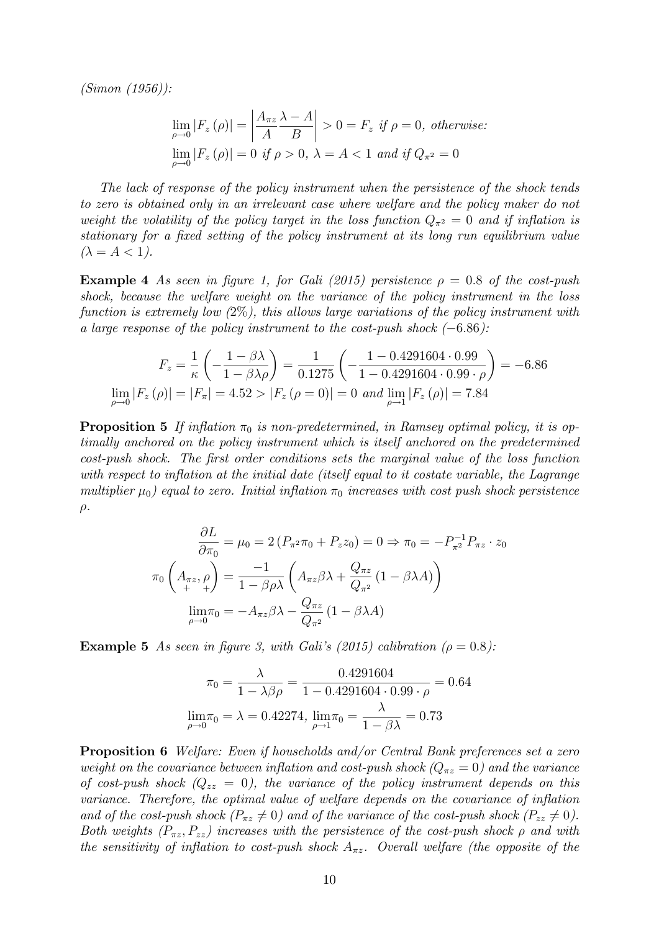(Simon (1956)):

$$
\lim_{\rho \to 0} |F_z(\rho)| = \left| \frac{A_{\pi z}}{A} \frac{\lambda - A}{B} \right| > 0 = F_z \text{ if } \rho = 0, \text{ otherwise:}
$$
  

$$
\lim_{\rho \to 0} |F_z(\rho)| = 0 \text{ if } \rho > 0, \lambda = A < 1 \text{ and if } Q_{\pi^2} = 0
$$

The lack of response of the policy instrument when the persistence of the shock tends to zero is obtained only in an irrelevant case where welfare and the policy maker do not weight the volatility of the policy target in the loss function  $Q_{\pi^2} = 0$  and if inflation is stationary for a fixed setting of the policy instrument at its long run equilibrium value  $(\lambda = A < 1).$ 

**Example 4** As seen in figure 1, for Gali (2015) persistence  $\rho = 0.8$  of the cost-push shock, because the welfare weight on the variance of the policy instrument in the loss function is extremely low  $(2\%)$ , this allows large variations of the policy instrument with a large response of the policy instrument to the cost-push shock  $(-6.86)$ :

$$
F_z = \frac{1}{\kappa} \left( -\frac{1 - \beta \lambda}{1 - \beta \lambda \rho} \right) = \frac{1}{0.1275} \left( -\frac{1 - 0.4291604 \cdot 0.99}{1 - 0.4291604 \cdot 0.99 \cdot \rho} \right) = -6.86
$$
  

$$
\lim_{\rho \to 0} |F_z(\rho)| = |F_\pi| = 4.52 > |F_z(\rho = 0)| = 0 \text{ and } \lim_{\rho \to 1} |F_z(\rho)| = 7.84
$$

**Proposition 5** If inflation  $\pi_0$  is non-predetermined, in Ramsey optimal policy, it is optimally anchored on the policy instrument which is itself anchored on the predetermined cost-push shock. The Örst order conditions sets the marginal value of the loss function with respect to inflation at the initial date (itself equal to it costate variable, the Lagrange multiplier  $\mu_0$ ) equal to zero. Initial inflation  $\pi_0$  increases with cost push shock persistence  $\rho$ .

$$
\frac{\partial L}{\partial \pi_0} = \mu_0 = 2 \left( P_{\pi^2} \pi_0 + P_z z_0 \right) = 0 \Rightarrow \pi_0 = -P_{\pi^2}^{-1} P_{\pi z} \cdot z_0
$$

$$
\pi_0 \left( A_{\pi z}, \rho \right) = \frac{-1}{1 - \beta \rho \lambda} \left( A_{\pi z} \beta \lambda + \frac{Q_{\pi z}}{Q_{\pi^2}} \left( 1 - \beta \lambda A \right) \right)
$$

$$
\lim_{\rho \to 0} \pi_0 = -A_{\pi z} \beta \lambda - \frac{Q_{\pi z}}{Q_{\pi^2}} \left( 1 - \beta \lambda A \right)
$$

**Example 5** As seen in figure 3, with Gali's (2015) calibration ( $\rho = 0.8$ ):

$$
\pi_0 = \frac{\lambda}{1 - \lambda \beta \rho} = \frac{0.4291604}{1 - 0.4291604 \cdot 0.99 \cdot \rho} = 0.64
$$

$$
\lim_{\rho \to 0} \pi_0 = \lambda = 0.42274, \lim_{\rho \to 1} \pi_0 = \frac{\lambda}{1 - \beta \lambda} = 0.73
$$

Proposition 6 Welfare: Even if households and/or Central Bank preferences set a zero weight on the covariance between inflation and cost-push shock  $(Q_{\pi z} = 0)$  and the variance of cost-push shock  $(Q_{zz} = 0)$ , the variance of the policy instrument depends on this variance. Therefore, the optimal value of welfare depends on the covariance of inflation and of the cost-push shock  $(P_{\pi z} \neq 0)$  and of the variance of the cost-push shock  $(P_{zz} \neq 0)$ . Both weights  $(P_{\pi z}, P_{zz})$  increases with the persistence of the cost-push shock  $\rho$  and with the sensitivity of inflation to cost-push shock  $A_{\pi z}$ . Overall welfare (the opposite of the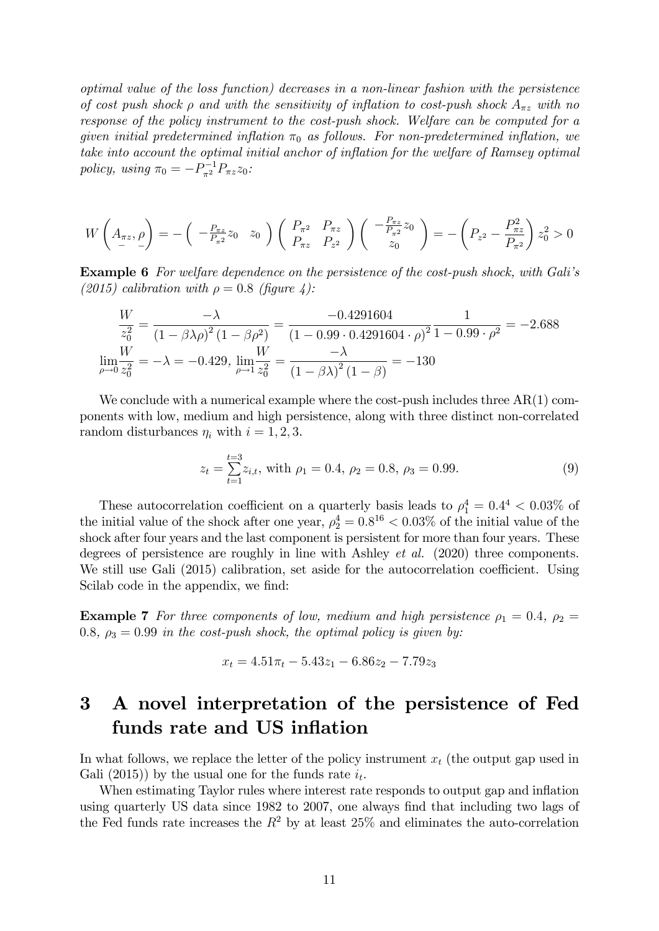optimal value of the loss function) decreases in a non-linear fashion with the persistence of cost push shock  $\rho$  and with the sensitivity of inflation to cost-push shock  $A_{\pi z}$  with no response of the policy instrument to the cost-push shock. Welfare can be computed for a given initial predetermined inflation  $\pi_0$  as follows. For non-predetermined inflation, we take into account the optimal initial anchor of inflation for the welfare of Ramsey optimal policy, using  $\pi_0 = -P_{\pi^2}^{-1} P_{\pi z} z_0$ :

$$
W\left(A_{\pi z}, \rho\right) = -\left(\begin{array}{cc} -\frac{P_{\pi z}}{P_{\pi 2}}z_0 & z_0 \end{array}\right) \left(\begin{array}{cc} P_{\pi 2} & P_{\pi z} \\ P_{\pi z} & P_{z^2} \end{array}\right) \left(\begin{array}{c} -\frac{P_{\pi z}}{P_{\pi 2}}z_0 \\ z_0 \end{array}\right) = -\left(P_{z^2} - \frac{P_{\pi z}^2}{P_{\pi 2}}\right)z_0^2 > 0
$$

**Example 6** For welfare dependence on the persistence of the cost-push shock, with Gali's (2015) calibration with  $\rho = 0.8$  (figure 4):

$$
\frac{W}{z_0^2} = \frac{-\lambda}{(1 - \beta\lambda\rho)^2 (1 - \beta\rho^2)} = \frac{-0.4291604}{(1 - 0.99 \cdot 0.4291604 \cdot \rho)^2} \frac{1}{1 - 0.99 \cdot \rho^2} = -2.688
$$
  

$$
\lim_{\rho \to 0} \frac{W}{z_0^2} = -\lambda = -0.429, \lim_{\rho \to 1} \frac{W}{z_0^2} = \frac{-\lambda}{(1 - \beta\lambda)^2 (1 - \beta)} = -130
$$

We conclude with a numerical example where the cost-push includes three  $AR(1)$  components with low, medium and high persistence, along with three distinct non-correlated random disturbances  $\eta_i$  with  $i = 1, 2, 3$ .

$$
z_t = \sum_{t=1}^{t=3} z_{i,t}, \text{ with } \rho_1 = 0.4, \rho_2 = 0.8, \rho_3 = 0.99. \tag{9}
$$

These autocorrelation coefficient on a quarterly basis leads to  $\rho_1^4 = 0.4^4 < 0.03\%$  of the initial value of the shock after one year,  $\rho_2^4 = 0.8^{16} < 0.03\%$  of the initial value of the shock after four years and the last component is persistent for more than four years. These degrees of persistence are roughly in line with Ashley *et al.* (2020) three components. We still use Gali  $(2015)$  calibration, set aside for the autocorrelation coefficient. Using Scilab code in the appendix, we find:

**Example 7** For three components of low, medium and high persistence  $\rho_1 = 0.4$ ,  $\rho_2 =$ 0.8,  $\rho_3 = 0.99$  in the cost-push shock, the optimal policy is given by:

$$
x_t = 4.51\pi_t - 5.43z_1 - 6.86z_2 - 7.79z_3
$$

## 3 A novel interpretation of the persistence of Fed funds rate and US inflation

In what follows, we replace the letter of the policy instrument  $x_t$  (the output gap used in Gali (2015)) by the usual one for the funds rate  $i_t$ .

When estimating Taylor rules where interest rate responds to output gap and inflation using quarterly US data since 1982 to 2007, one always find that including two lags of the Fed funds rate increases the  $R^2$  by at least 25% and eliminates the auto-correlation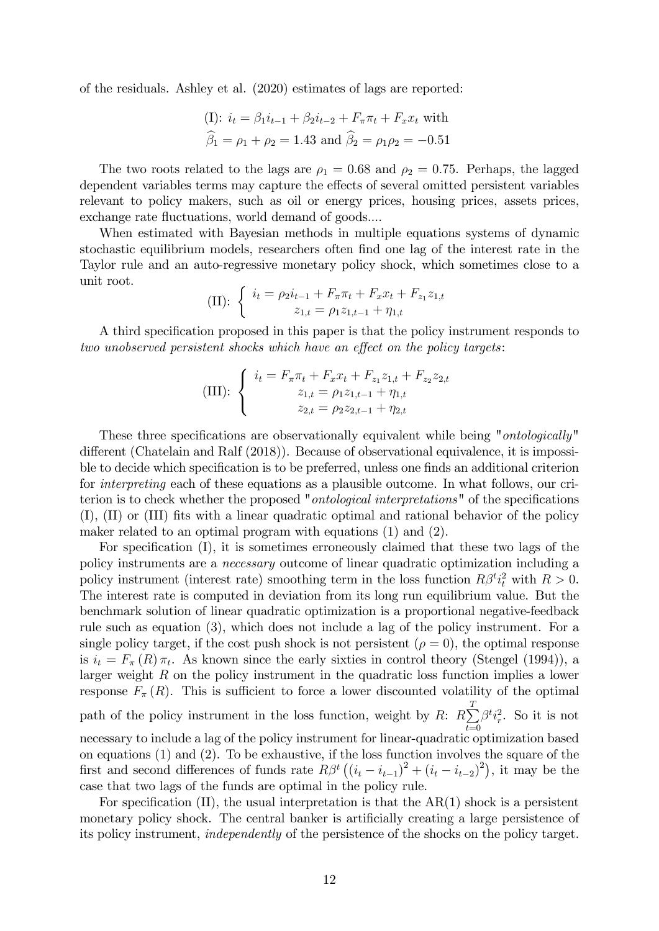of the residuals. Ashley et al. (2020) estimates of lags are reported:

(I): 
$$
i_t = \beta_1 i_{t-1} + \beta_2 i_{t-2} + F_{\pi} \pi_t + F_x x_t
$$
 with  
\n $\hat{\beta}_1 = \rho_1 + \rho_2 = 1.43$  and  $\hat{\beta}_2 = \rho_1 \rho_2 = -0.51$ 

The two roots related to the lags are  $\rho_1 = 0.68$  and  $\rho_2 = 0.75$ . Perhaps, the lagged dependent variables terms may capture the effects of several omitted persistent variables relevant to policy makers, such as oil or energy prices, housing prices, assets prices, exchange rate fluctuations, world demand of goods....

When estimated with Bayesian methods in multiple equations systems of dynamic stochastic equilibrium models, researchers often Önd one lag of the interest rate in the Taylor rule and an auto-regressive monetary policy shock, which sometimes close to a unit root.

(II): 
$$
\begin{cases} i_t = \rho_2 i_{t-1} + F_{\pi} \pi_t + F_x x_t + F_{z_1} z_{1,t} \\ z_{1,t} = \rho_1 z_{1,t-1} + \eta_{1,t} \end{cases}
$$

A third specification proposed in this paper is that the policy instrument responds to two unobserved persistent shocks which have an effect on the policy targets:

(III): 
$$
\begin{cases} i_t = F_{\pi} \pi_t + F_x x_t + F_{z_1} z_{1,t} + F_{z_2} z_{2,t} \\ z_{1,t} = \rho_1 z_{1,t-1} + \eta_{1,t} \\ z_{2,t} = \rho_2 z_{2,t-1} + \eta_{2,t} \end{cases}
$$

These three specifications are observationally equivalent while being "*ontologically*" different (Chatelain and Ralf  $(2018)$ ). Because of observational equivalence, it is impossible to decide which specification is to be preferred, unless one finds an additional criterion for interpreting each of these equations as a plausible outcome. In what follows, our criterion is to check whether the proposed "*ontological interpretations*" of the specifications  $(I)$ ,  $(II)$  or  $(III)$  fits with a linear quadratic optimal and rational behavior of the policy maker related to an optimal program with equations (1) and (2).

For specification  $(I)$ , it is sometimes erroneously claimed that these two lags of the policy instruments are a necessary outcome of linear quadratic optimization including a policy instrument (interest rate) smoothing term in the loss function  $R\beta^{t}i_{t}^{2}$  with  $R > 0$ . The interest rate is computed in deviation from its long run equilibrium value. But the benchmark solution of linear quadratic optimization is a proportional negative-feedback rule such as equation (3), which does not include a lag of the policy instrument. For a single policy target, if the cost push shock is not persistent  $(\rho = 0)$ , the optimal response is  $i_t = F_{\pi}(R) \pi_t$ . As known since the early sixties in control theory (Stengel (1994)), a larger weight R on the policy instrument in the quadratic loss function implies a lower response  $F_{\pi}(R)$ . This is sufficient to force a lower discounted volatility of the optimal path of the policy instrument in the loss function, weight by  $R: R \sum_{n=1}^{T}$  $t=0$  $\beta^t i_r^2$ . So it is not necessary to include a lag of the policy instrument for linear-quadratic optimization based on equations (1) and (2). To be exhaustive, if the loss function involves the square of the first and second differences of funds rate  $R\beta^t ((i_t - i_{t-1})^2 + (i_t - i_{t-2})^2)$ , it may be the case that two lags of the funds are optimal in the policy rule.

For specification  $(II)$ , the usual interpretation is that the  $AR(1)$  shock is a persistent monetary policy shock. The central banker is artificially creating a large persistence of its policy instrument, independently of the persistence of the shocks on the policy target.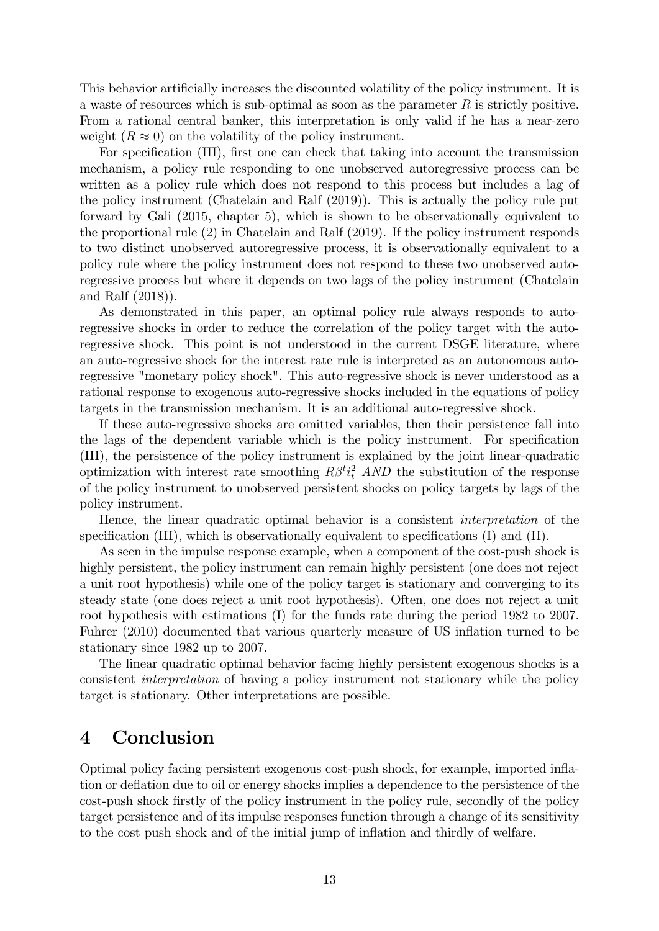This behavior artificially increases the discounted volatility of the policy instrument. It is a waste of resources which is sub-optimal as soon as the parameter  $R$  is strictly positive. From a rational central banker, this interpretation is only valid if he has a near-zero weight  $(R \approx 0)$  on the volatility of the policy instrument.

For specification (III), first one can check that taking into account the transmission mechanism, a policy rule responding to one unobserved autoregressive process can be written as a policy rule which does not respond to this process but includes a lag of the policy instrument (Chatelain and Ralf (2019)). This is actually the policy rule put forward by Gali (2015, chapter 5), which is shown to be observationally equivalent to the proportional rule (2) in Chatelain and Ralf (2019). If the policy instrument responds to two distinct unobserved autoregressive process, it is observationally equivalent to a policy rule where the policy instrument does not respond to these two unobserved autoregressive process but where it depends on two lags of the policy instrument (Chatelain and Ralf (2018)).

As demonstrated in this paper, an optimal policy rule always responds to autoregressive shocks in order to reduce the correlation of the policy target with the autoregressive shock. This point is not understood in the current DSGE literature, where an auto-regressive shock for the interest rate rule is interpreted as an autonomous autoregressive "monetary policy shock". This auto-regressive shock is never understood as a rational response to exogenous auto-regressive shocks included in the equations of policy targets in the transmission mechanism. It is an additional auto-regressive shock.

If these auto-regressive shocks are omitted variables, then their persistence fall into the lags of the dependent variable which is the policy instrument. For specification (III), the persistence of the policy instrument is explained by the joint linear-quadratic optimization with interest rate smoothing  $R\beta^{t}i_{t}^{2}$  AND the substitution of the response of the policy instrument to unobserved persistent shocks on policy targets by lags of the policy instrument.

Hence, the linear quadratic optimal behavior is a consistent interpretation of the specification  $(III)$ , which is observationally equivalent to specifications  $(I)$  and  $(II)$ .

As seen in the impulse response example, when a component of the cost-push shock is highly persistent, the policy instrument can remain highly persistent (one does not reject a unit root hypothesis) while one of the policy target is stationary and converging to its steady state (one does reject a unit root hypothesis). Often, one does not reject a unit root hypothesis with estimations (I) for the funds rate during the period 1982 to 2007. Fuhrer (2010) documented that various quarterly measure of US inflation turned to be stationary since 1982 up to 2007.

The linear quadratic optimal behavior facing highly persistent exogenous shocks is a consistent interpretation of having a policy instrument not stationary while the policy target is stationary. Other interpretations are possible.

### 4 Conclusion

Optimal policy facing persistent exogenous cost-push shock, for example, imported ináation or deáation due to oil or energy shocks implies a dependence to the persistence of the cost-push shock Örstly of the policy instrument in the policy rule, secondly of the policy target persistence and of its impulse responses function through a change of its sensitivity to the cost push shock and of the initial jump of inflation and thirdly of welfare.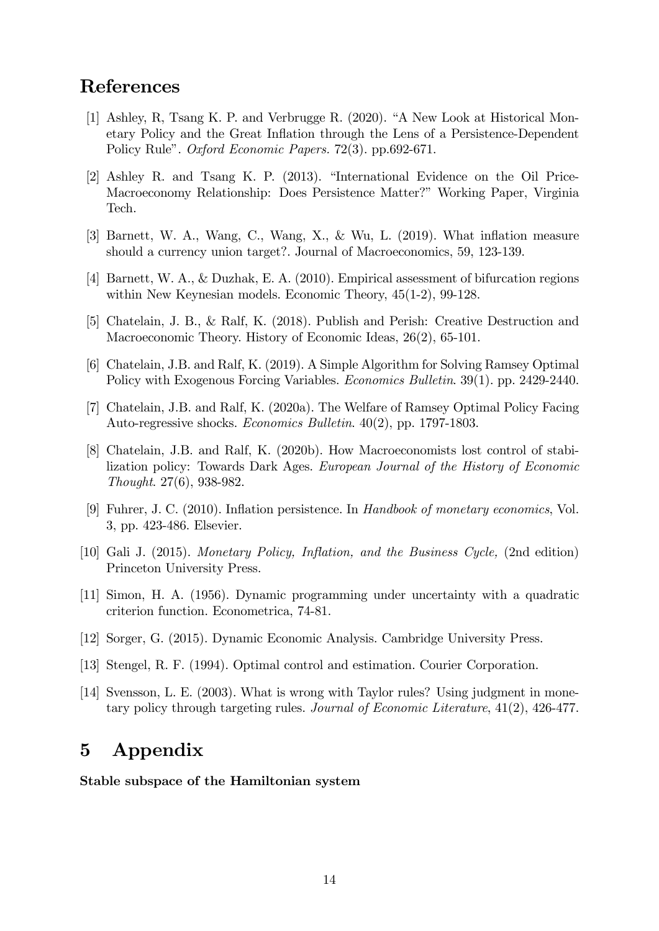## References

- [1] Ashley, R, Tsang K. P. and Verbrugge R.  $(2020)$ . "A New Look at Historical Monetary Policy and the Great Inflation through the Lens of a Persistence-Dependent Policy Rule". *Oxford Economic Papers.* 72(3). pp.692-671.
- [2] Ashley R. and Tsang K. P. (2013). "International Evidence on the Oil Price-Macroeconomy Relationship: Does Persistence Matter?" Working Paper, Virginia Tech.
- [3] Barnett, W. A., Wang, C., Wang, X., & Wu, L. (2019). What inflation measure should a currency union target?. Journal of Macroeconomics, 59, 123-139.
- [4] Barnett, W. A., & Duzhak, E. A. (2010). Empirical assessment of bifurcation regions within New Keynesian models. Economic Theory, 45(1-2), 99-128.
- [5] Chatelain, J. B., & Ralf, K. (2018). Publish and Perish: Creative Destruction and Macroeconomic Theory. History of Economic Ideas, 26(2), 65-101.
- [6] Chatelain, J.B. and Ralf, K. (2019). A Simple Algorithm for Solving Ramsey Optimal Policy with Exogenous Forcing Variables. Economics Bulletin. 39(1). pp. 2429-2440.
- [7] Chatelain, J.B. and Ralf, K. (2020a). The Welfare of Ramsey Optimal Policy Facing Auto-regressive shocks. Economics Bulletin. 40(2), pp. 1797-1803.
- [8] Chatelain, J.B. and Ralf, K. (2020b). How Macroeconomists lost control of stabilization policy: Towards Dark Ages. European Journal of the History of Economic Thought. 27(6), 938-982.
- [9] Fuhrer, J. C. (2010). Ináation persistence. In Handbook of monetary economics, Vol. 3, pp. 423-486. Elsevier.
- [10] Gali J. (2015). Monetary Policy, Inflation, and the Business Cycle, (2nd edition) Princeton University Press.
- [11] Simon, H. A. (1956). Dynamic programming under uncertainty with a quadratic criterion function. Econometrica, 74-81.
- [12] Sorger, G. (2015). Dynamic Economic Analysis. Cambridge University Press.
- [13] Stengel, R. F. (1994). Optimal control and estimation. Courier Corporation.
- [14] Svensson, L. E. (2003). What is wrong with Taylor rules? Using judgment in monetary policy through targeting rules. Journal of Economic Literature, 41(2), 426-477.

### 5 Appendix

#### Stable subspace of the Hamiltonian system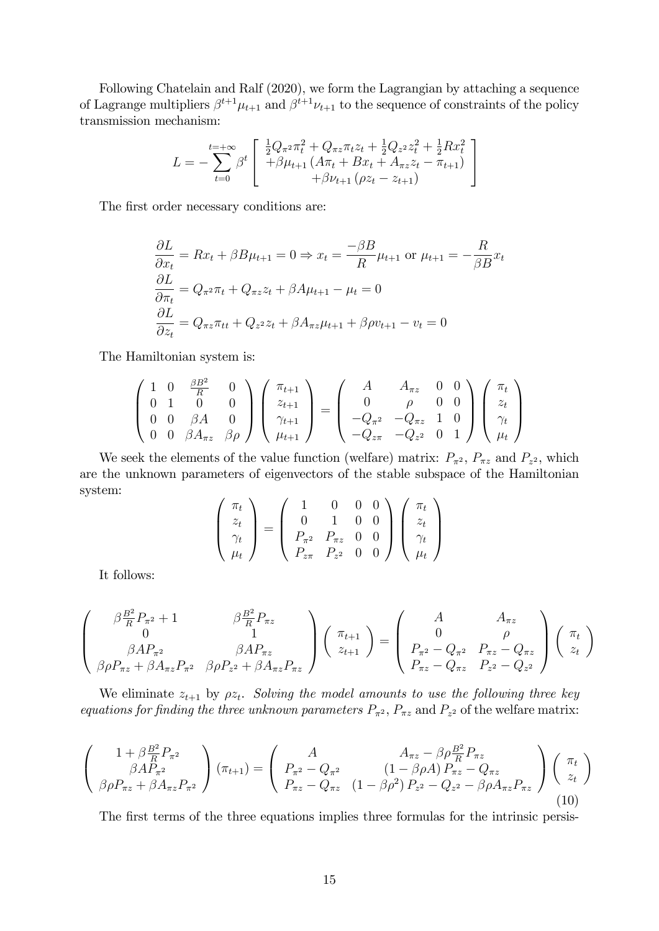Following Chatelain and Ralf (2020), we form the Lagrangian by attaching a sequence of Lagrange multipliers  $\beta^{t+1}\mu_{t+1}$  and  $\beta^{t+1}\nu_{t+1}$  to the sequence of constraints of the policy transmission mechanism:

$$
L = -\sum_{t=0}^{t=+\infty} \beta^t \begin{bmatrix} \frac{1}{2}Q_{\pi^2} \pi_t^2 + Q_{\pi z} \pi_t z_t + \frac{1}{2}Q_{z^2} z_t^2 + \frac{1}{2}Rx_t^2\\ + \beta \mu_{t+1} (A\pi_t + Bx_t + A_{\pi z} z_t - \pi_{t+1})\\ + \beta \nu_{t+1} (\rho z_t - z_{t+1}) \end{bmatrix}
$$

The first order necessary conditions are:

$$
\frac{\partial L}{\partial x_t} = Rx_t + \beta B\mu_{t+1} = 0 \Rightarrow x_t = \frac{-\beta B}{R}\mu_{t+1} \text{ or } \mu_{t+1} = -\frac{R}{\beta B}x_t
$$

$$
\frac{\partial L}{\partial \pi_t} = Q_{\pi^2} \pi_t + Q_{\pi^2} z_t + \beta A \mu_{t+1} - \mu_t = 0
$$

$$
\frac{\partial L}{\partial z_t} = Q_{\pi^2} \pi_{tt} + Q_{z^2} z_t + \beta A_{\pi^2} \mu_{t+1} + \beta \rho v_{t+1} - v_t = 0
$$

The Hamiltonian system is:

$$
\begin{pmatrix}\n1 & 0 & \frac{\beta B^2}{R} & 0 \\
0 & 1 & 0 & 0 \\
0 & 0 & \beta A & 0 \\
0 & 0 & \beta A_{\pi z} & \beta \rho\n\end{pmatrix}\n\begin{pmatrix}\n\pi_{t+1} \\
z_{t+1} \\
\gamma_{t+1} \\
\mu_{t+1}\n\end{pmatrix} = \begin{pmatrix}\nA & A_{\pi z} & 0 & 0 \\
0 & \rho & 0 & 0 \\
-Q_{\pi^2} & -Q_{\pi z} & 1 & 0 \\
-Q_{z\pi} & -Q_{z^2} & 0 & 1\n\end{pmatrix}\n\begin{pmatrix}\n\pi_t \\
z_t \\
\gamma_t \\
\mu_t\n\end{pmatrix}
$$

We seek the elements of the value function (welfare) matrix:  $P_{\pi^2}$ ,  $P_{\pi^2}$  and  $P_{z^2}$ , which are the unknown parameters of eigenvectors of the stable subspace of the Hamiltonian system:

$$
\begin{pmatrix} \pi_t \\ z_t \\ \gamma_t \\ \mu_t \end{pmatrix} = \begin{pmatrix} 1 & 0 & 0 & 0 \\ 0 & 1 & 0 & 0 \\ P_{\pi^2} & P_{\pi z} & 0 & 0 \\ P_{z\pi} & P_{z^2} & 0 & 0 \end{pmatrix} \begin{pmatrix} \pi_t \\ z_t \\ \gamma_t \\ \mu_t \end{pmatrix}
$$

It follows:

$$
\begin{pmatrix}\n\beta \frac{B^2}{R} P_{\pi^2} + 1 & \beta \frac{B^2}{R} P_{\pi z} \\
0 & 1 \\
\beta A P_{\pi^2} & \beta A P_{\pi z} \\
\beta \rho P_{\pi z} + \beta A_{\pi z} P_{\pi^2} & \beta \rho P_{z^2} + \beta A_{\pi z} P_{\pi z}\n\end{pmatrix}\n\begin{pmatrix}\n\pi_{t+1} \\
z_{t+1}\n\end{pmatrix} = \begin{pmatrix}\nA & A_{\pi z} \\
0 & \rho \\
P_{\pi^2} - Q_{\pi^2} & P_{\pi z} - Q_{\pi z} \\
P_{\pi z} - Q_{\pi z} & P_{z^2} - Q_{z^2}\n\end{pmatrix}\n\begin{pmatrix}\n\pi_t \\
z_t\n\end{pmatrix}
$$

We eliminate  $z_{t+1}$  by  $\rho z_t$ . Solving the model amounts to use the following three key equations for finding the three unknown parameters  $P_{\pi^2}$ ,  $P_{\pi^2}$  and  $P_{z^2}$  of the welfare matrix:

$$
\begin{pmatrix}\n1+\beta\frac{B^2}{R}P_{\pi^2} \\
\beta AP_{\pi^2} \\
\beta \rho P_{\pi z} + \beta A_{\pi z}P_{\pi^2}\n\end{pmatrix} (\pi_{t+1}) = \begin{pmatrix}\nA & A_{\pi z} - \beta \rho\frac{B^2}{R}P_{\pi z} \\
P_{\pi^2} - Q_{\pi^2} & (1-\beta \rho A) P_{\pi z} - Q_{\pi z} \\
P_{\pi z} - Q_{\pi z} & (1-\beta \rho^2) P_{z^2} - Q_{z^2} - \beta \rho A_{\pi z}P_{\pi z}\n\end{pmatrix} \begin{pmatrix}\n\pi_t \\
z_t\n\end{pmatrix}
$$
\n(10)

The first terms of the three equations implies three formulas for the intrinsic persis-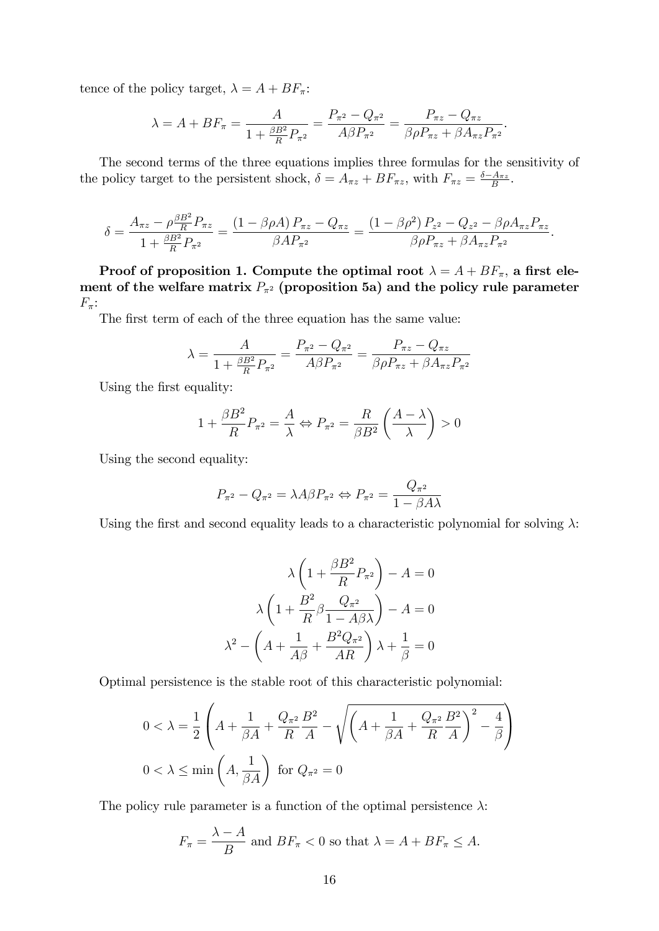tence of the policy target,  $\lambda = A + BF_{\pi}$ :

$$
\lambda = A + BF_{\pi} = \frac{A}{1 + \frac{\beta B^2}{R} P_{\pi^2}} = \frac{P_{\pi^2} - Q_{\pi^2}}{A \beta P_{\pi^2}} = \frac{P_{\pi z} - Q_{\pi z}}{\beta \rho P_{\pi z} + \beta A_{\pi z} P_{\pi^2}}.
$$

The second terms of the three equations implies three formulas for the sensitivity of the policy target to the persistent shock,  $\delta = A_{\pi z} + BF_{\pi z}$ , with  $F_{\pi z} = \frac{\delta - A_{\pi z}}{B}$ .

$$
\delta = \frac{A_{\pi z} - \rho \frac{\beta B^2}{R} P_{\pi z}}{1 + \frac{\beta B^2}{R} P_{\pi^2}} = \frac{(1 - \beta \rho A) P_{\pi z} - Q_{\pi z}}{\beta A P_{\pi^2}} = \frac{(1 - \beta \rho^2) P_{z^2} - Q_{z^2} - \beta \rho A_{\pi z} P_{\pi z}}{\beta \rho P_{\pi z} + \beta A_{\pi z} P_{\pi^2}}.
$$

Proof of proposition 1. Compute the optimal root  $\lambda = A + BF_{\pi}$ , a first element of the welfare matrix  $P_{\pi^2}$  (proposition 5a) and the policy rule parameter  $F_{\pi}$ :

The first term of each of the three equation has the same value:

$$
\lambda = \frac{A}{1 + \frac{\beta B^2}{R} P_{\pi^2}} = \frac{P_{\pi^2} - Q_{\pi^2}}{A \beta P_{\pi^2}} = \frac{P_{\pi z} - Q_{\pi z}}{\beta \rho P_{\pi z} + \beta A_{\pi z} P_{\pi^2}}
$$

Using the first equality:

$$
1 + \frac{\beta B^2}{R} P_{\pi^2} = \frac{A}{\lambda} \Leftrightarrow P_{\pi^2} = \frac{R}{\beta B^2} \left( \frac{A - \lambda}{\lambda} \right) > 0
$$

Using the second equality:

$$
P_{\pi^2} - Q_{\pi^2} = \lambda A \beta P_{\pi^2} \Leftrightarrow P_{\pi^2} = \frac{Q_{\pi^2}}{1 - \beta A \lambda}
$$

Using the first and second equality leads to a characteristic polynomial for solving  $\lambda$ :

$$
\lambda \left( 1 + \frac{\beta B^2}{R} P_{\pi^2} \right) - A = 0
$$

$$
\lambda \left( 1 + \frac{B^2}{R} \beta \frac{Q_{\pi^2}}{1 - A \beta \lambda} \right) - A = 0
$$

$$
\lambda^2 - \left( A + \frac{1}{A \beta} + \frac{B^2 Q_{\pi^2}}{A R} \right) \lambda + \frac{1}{\beta} = 0
$$

Optimal persistence is the stable root of this characteristic polynomial:

$$
0 < \lambda = \frac{1}{2} \left( A + \frac{1}{\beta A} + \frac{Q_{\pi^2}}{R} \frac{B^2}{A} - \sqrt{\left( A + \frac{1}{\beta A} + \frac{Q_{\pi^2}}{R} \frac{B^2}{A} \right)^2 - \frac{4}{\beta}} \right)
$$
\n
$$
0 < \lambda \le \min \left( A, \frac{1}{\beta A} \right) \text{ for } Q_{\pi^2} = 0
$$

The policy rule parameter is a function of the optimal persistence  $\lambda$ :

$$
F_{\pi} = \frac{\lambda - A}{B}
$$
 and 
$$
BF_{\pi} < 0
$$
 so that 
$$
\lambda = A + BF_{\pi} \leq A.
$$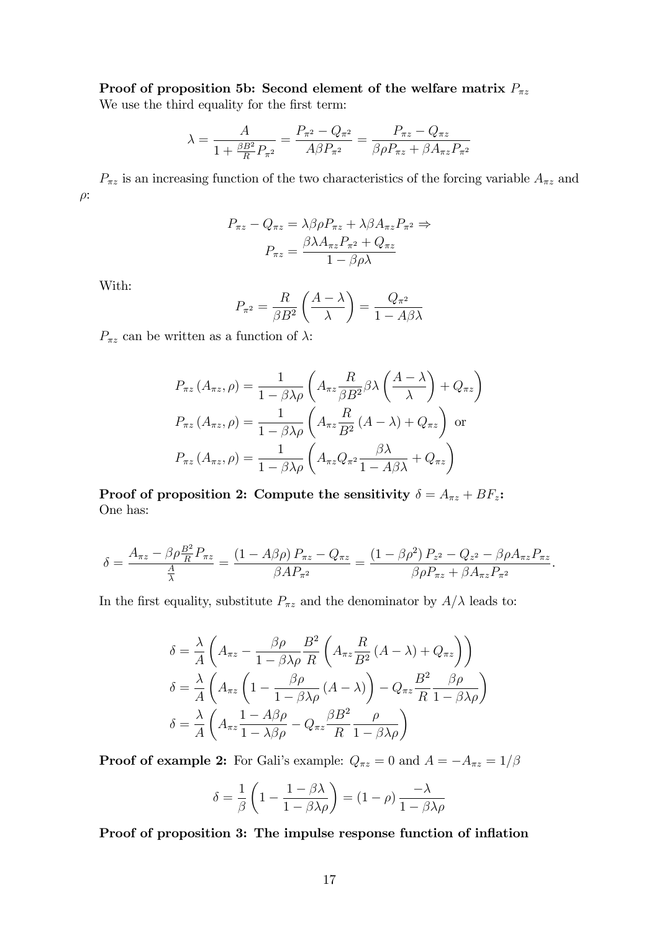Proof of proposition 5b: Second element of the welfare matrix  $P_{\pi z}$ 

We use the third equality for the first term:

$$
\lambda = \frac{A}{1 + \frac{\beta B^2}{R} P_{\pi^2}} = \frac{P_{\pi^2} - Q_{\pi^2}}{A \beta P_{\pi^2}} = \frac{P_{\pi z} - Q_{\pi z}}{\beta \rho P_{\pi z} + \beta A_{\pi z} P_{\pi^2}}
$$

 $P_{\pi z}$  is an increasing function of the two characteristics of the forcing variable  $A_{\pi z}$  and  $\rho$ :

$$
P_{\pi z} - Q_{\pi z} = \lambda \beta \rho P_{\pi z} + \lambda \beta A_{\pi z} P_{\pi^2} \Rightarrow
$$

$$
P_{\pi z} = \frac{\beta \lambda A_{\pi z} P_{\pi^2} + Q_{\pi z}}{1 - \beta \rho \lambda}
$$

With:

$$
P_{\pi^2} = \frac{R}{\beta B^2} \left( \frac{A - \lambda}{\lambda} \right) = \frac{Q_{\pi^2}}{1 - A\beta\lambda}
$$

 $P_{\pi z}$  can be written as a function of  $\lambda$ :

$$
P_{\pi z} (A_{\pi z}, \rho) = \frac{1}{1 - \beta \lambda \rho} \left( A_{\pi z} \frac{R}{\beta B^2} \beta \lambda \left( \frac{A - \lambda}{\lambda} \right) + Q_{\pi z} \right)
$$
  
\n
$$
P_{\pi z} (A_{\pi z}, \rho) = \frac{1}{1 - \beta \lambda \rho} \left( A_{\pi z} \frac{R}{B^2} (A - \lambda) + Q_{\pi z} \right)
$$
 or  
\n
$$
P_{\pi z} (A_{\pi z}, \rho) = \frac{1}{1 - \beta \lambda \rho} \left( A_{\pi z} Q_{\pi^2} \frac{\beta \lambda}{1 - A \beta \lambda} + Q_{\pi z} \right)
$$

Proof of proposition 2: Compute the sensitivity  $\delta = A_{\pi z} + BF_z$ : One has:

$$
\delta = \frac{A_{\pi z} - \beta \rho \frac{B^2}{R} P_{\pi z}}{\frac{A}{\lambda}} = \frac{(1 - A\beta \rho) P_{\pi z} - Q_{\pi z}}{\beta A P_{\pi^2}} = \frac{(1 - \beta \rho^2) P_{z^2} - Q_{z^2} - \beta \rho A_{\pi z} P_{\pi z}}{\beta \rho P_{\pi z} + \beta A_{\pi z} P_{\pi^2}}.
$$

In the first equality, substitute  $P_{\pi z}$  and the denominator by  $A/\lambda$  leads to:

$$
\delta = \frac{\lambda}{A} \left( A_{\pi z} - \frac{\beta \rho}{1 - \beta \lambda \rho} \frac{B^2}{R} \left( A_{\pi z} \frac{R}{B^2} (A - \lambda) + Q_{\pi z} \right) \right)
$$
  

$$
\delta = \frac{\lambda}{A} \left( A_{\pi z} \left( 1 - \frac{\beta \rho}{1 - \beta \lambda \rho} (A - \lambda) \right) - Q_{\pi z} \frac{B^2}{R} \frac{\beta \rho}{1 - \beta \lambda \rho} \right)
$$
  

$$
\delta = \frac{\lambda}{A} \left( A_{\pi z} \frac{1 - A \beta \rho}{1 - \lambda \beta \rho} - Q_{\pi z} \frac{\beta B^2}{R} \frac{\rho}{1 - \beta \lambda \rho} \right)
$$

**Proof of example 2:** For Gali's example:  $Q_{\pi z} = 0$  and  $A = -A_{\pi z} = 1/\beta$ 

$$
\delta = \frac{1}{\beta} \left( 1 - \frac{1 - \beta \lambda}{1 - \beta \lambda \rho} \right) = (1 - \rho) \frac{-\lambda}{1 - \beta \lambda \rho}
$$

Proof of proposition 3: The impulse response function of inflation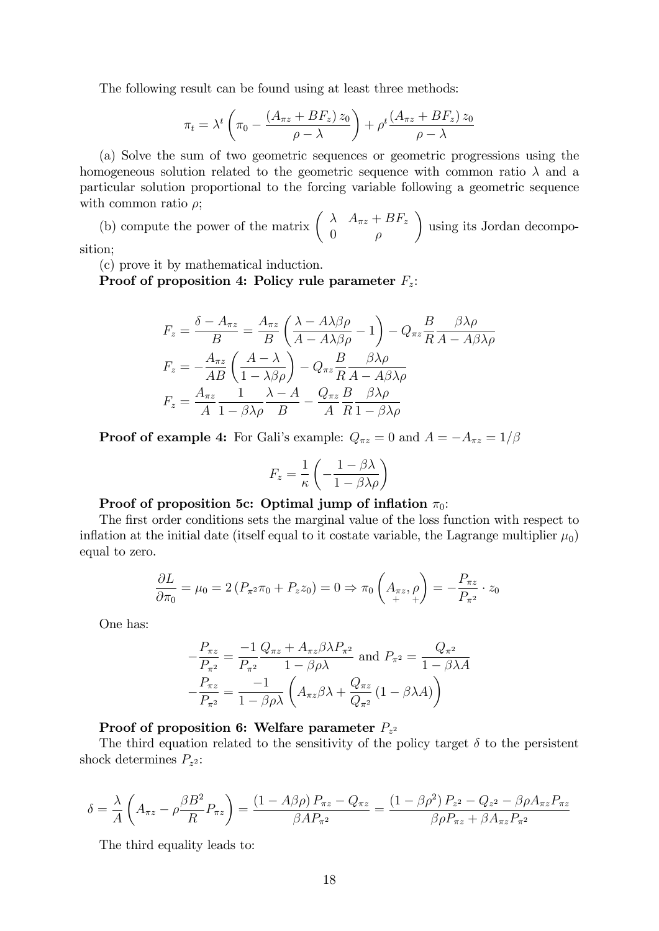The following result can be found using at least three methods:

$$
\pi_t = \lambda^t \left( \pi_0 - \frac{(A_{\pi z} + BF_z) z_0}{\rho - \lambda} \right) + \rho^t \frac{(A_{\pi z} + BF_z) z_0}{\rho - \lambda}
$$

(a) Solve the sum of two geometric sequences or geometric progressions using the homogeneous solution related to the geometric sequence with common ratio  $\lambda$  and a particular solution proportional to the forcing variable following a geometric sequence with common ratio  $\rho$ ;

(b) compute the power of the matrix  $\begin{pmatrix} \lambda & A_{\pi z} + BF_z \end{pmatrix}$  $0 \rho$  $\lambda$ using its Jordan decomposition;

(c) prove it by mathematical induction.

Proof of proposition 4: Policy rule parameter  $F_z$ :

$$
F_z = \frac{\delta - A_{\pi z}}{B} = \frac{A_{\pi z}}{B} \left( \frac{\lambda - A\lambda\beta\rho}{A - A\lambda\beta\rho} - 1 \right) - Q_{\pi z} \frac{B}{R} \frac{\beta\lambda\rho}{A - A\beta\lambda\rho}
$$

$$
F_z = -\frac{A_{\pi z}}{AB} \left( \frac{A - \lambda}{1 - \lambda\beta\rho} \right) - Q_{\pi z} \frac{B}{R} \frac{\beta\lambda\rho}{A - A\beta\lambda\rho}
$$

$$
F_z = \frac{A_{\pi z}}{A} \frac{1}{1 - \beta\lambda\rho} \frac{\lambda - A}{B} - \frac{Q_{\pi z}}{A} \frac{B}{R} \frac{\beta\lambda\rho}{1 - \beta\lambda\rho}
$$

**Proof of example 4:** For Gali's example:  $Q_{\pi z} = 0$  and  $A = -A_{\pi z} = 1/\beta$ 

$$
F_z = \frac{1}{\kappa} \left( -\frac{1 - \beta \lambda}{1 - \beta \lambda \rho} \right)
$$

#### Proof of proposition 5c: Optimal jump of inflation  $\pi_0$ :

The first order conditions sets the marginal value of the loss function with respect to inflation at the initial date (itself equal to it costate variable, the Lagrange multiplier  $\mu_0$ ) equal to zero.

$$
\frac{\partial L}{\partial \pi_0} = \mu_0 = 2 \left( P_{\pi^2} \pi_0 + P_z z_0 \right) = 0 \Rightarrow \pi_0 \left( A_{\pi z}, \rho \right) = -\frac{P_{\pi z}}{P_{\pi^2}} \cdot z_0
$$

One has:

$$
-\frac{P_{\pi z}}{P_{\pi^2}} = \frac{-1}{P_{\pi^2}} \frac{Q_{\pi z} + A_{\pi z} \beta \lambda P_{\pi^2}}{1 - \beta \rho \lambda} \text{ and } P_{\pi^2} = \frac{Q_{\pi^2}}{1 - \beta \lambda A}
$$

$$
-\frac{P_{\pi z}}{P_{\pi^2}} = \frac{-1}{1 - \beta \rho \lambda} \left( A_{\pi z} \beta \lambda + \frac{Q_{\pi z}}{Q_{\pi^2}} \left( 1 - \beta \lambda A \right) \right)
$$

#### Proof of proposition 6: Welfare parameter  $P_{z^2}$

The third equation related to the sensitivity of the policy target  $\delta$  to the persistent shock determines  $P_{z^2}$ :

$$
\delta = \frac{\lambda}{A} \left( A_{\pi z} - \rho \frac{\beta B^2}{R} P_{\pi z} \right) = \frac{(1 - A\beta \rho) P_{\pi z} - Q_{\pi z}}{\beta A P_{\pi^2}} = \frac{(1 - \beta \rho^2) P_{z^2} - Q_{z^2} - \beta \rho A_{\pi z} P_{\pi z}}{\beta \rho P_{\pi z} + \beta A_{\pi z} P_{\pi^2}}
$$

The third equality leads to: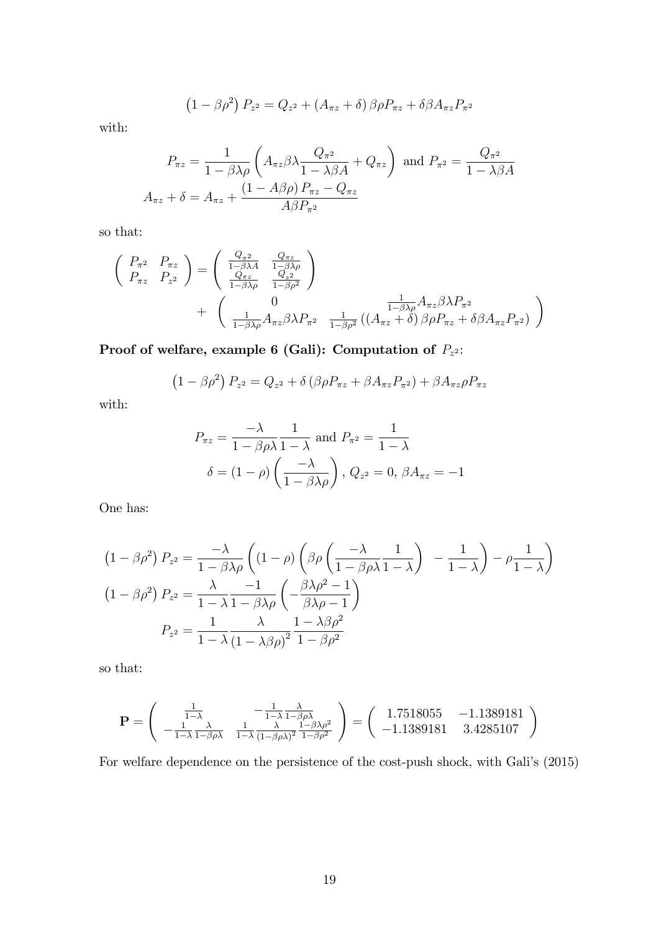$$
(1 - \beta \rho^2) P_{z^2} = Q_{z^2} + (A_{\pi z} + \delta) \beta \rho P_{\pi z} + \delta \beta A_{\pi z} P_{\pi^2}
$$

with:

$$
P_{\pi z} = \frac{1}{1 - \beta \lambda \rho} \left( A_{\pi z} \beta \lambda \frac{Q_{\pi^2}}{1 - \lambda \beta A} + Q_{\pi z} \right) \text{ and } P_{\pi^2} = \frac{Q_{\pi^2}}{1 - \lambda \beta A}
$$

$$
A_{\pi z} + \delta = A_{\pi z} + \frac{(1 - A\beta \rho) P_{\pi z} - Q_{\pi z}}{A \beta P_{\pi^2}}
$$

so that:

$$
\begin{pmatrix}\nP_{\pi^2} & P_{\pi z} \\
P_{\pi z} & P_{z^2}\n\end{pmatrix} = \begin{pmatrix}\n\frac{Q_{\pi^2}}{1 - \beta \lambda A} & \frac{Q_{\pi z}}{1 - \beta \lambda \rho} \\
\frac{Q_{\pi z}}{1 - \beta \lambda \rho} & \frac{Q_{z^2}}{1 - \beta \rho^2}\n\end{pmatrix}\n+ \begin{pmatrix}\n0 & \frac{1}{1 - \beta \lambda \rho} A_{\pi z} \beta \lambda P_{\pi^2} \\
\frac{1}{1 - \beta \lambda \rho} A_{\pi z} \beta \lambda P_{\pi^2} & \frac{1}{1 - \beta \rho^2} \left( (A_{\pi z} + \delta) \beta \rho P_{\pi z} + \delta \beta A_{\pi z} P_{\pi^2} \right)\n\end{pmatrix}
$$

Proof of welfare, example 6 (Gali): Computation of  $P_{z^2}$ :

$$
(1 - \beta \rho^2) P_{z^2} = Q_{z^2} + \delta \left( \beta \rho P_{\pi z} + \beta A_{\pi z} P_{\pi^2} \right) + \beta A_{\pi z} \rho P_{\pi z}
$$

with:

$$
P_{\pi z} = \frac{-\lambda}{1 - \beta \rho \lambda} \frac{1}{1 - \lambda} \text{ and } P_{\pi^2} = \frac{1}{1 - \lambda}
$$

$$
\delta = (1 - \rho) \left( \frac{-\lambda}{1 - \beta \lambda \rho} \right), Q_{z^2} = 0, \beta A_{\pi z} = -1
$$

One has:

$$
(1 - \beta \rho^2) P_{z^2} = \frac{-\lambda}{1 - \beta \lambda \rho} \left( (1 - \rho) \left( \beta \rho \left( \frac{-\lambda}{1 - \beta \rho \lambda} \frac{1}{1 - \lambda} \right) - \frac{1}{1 - \lambda} \right) - \rho \frac{1}{1 - \lambda} \right)
$$
  

$$
(1 - \beta \rho^2) P_{z^2} = \frac{\lambda}{1 - \lambda} \frac{-1}{1 - \beta \lambda \rho} \left( -\frac{\beta \lambda \rho^2 - 1}{\beta \lambda \rho - 1} \right)
$$
  

$$
P_{z^2} = \frac{1}{1 - \lambda} \frac{\lambda}{(1 - \lambda \beta \rho)^2} \frac{1 - \lambda \beta \rho^2}{1 - \beta \rho^2}
$$

so that:

$$
\mathbf{P} = \begin{pmatrix} \frac{1}{1-\lambda} & -\frac{1}{1-\lambda} \frac{\lambda}{1-\beta\rho\lambda} \\ -\frac{1}{1-\lambda} \frac{\lambda}{1-\beta\rho\lambda} & \frac{1}{1-\lambda} \frac{\lambda}{(1-\beta\rho\lambda)^2} \frac{1-\beta\lambda\rho^2}{1-\beta\rho^2} \end{pmatrix} = \begin{pmatrix} 1.7518055 & -1.1389181 \\ -1.1389181 & 3.4285107 \end{pmatrix}
$$

For welfare dependence on the persistence of the cost-push shock, with Gali's (2015)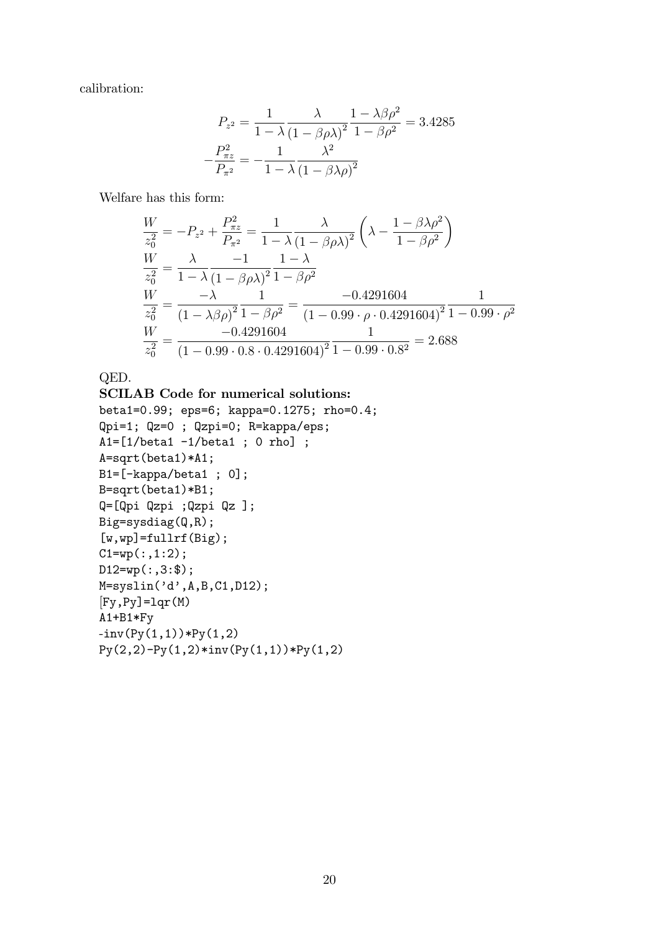calibration:

$$
P_{z^2} = \frac{1}{1 - \lambda} \frac{\lambda}{\left(1 - \beta \rho \lambda\right)^2} \frac{1 - \lambda \beta \rho^2}{1 - \beta \rho^2} = 3.4285
$$

$$
-\frac{P_{\pi z}^2}{P_{\pi z}} = -\frac{1}{1 - \lambda} \frac{\lambda^2}{\left(1 - \beta \lambda \rho\right)^2}
$$

Welfare has this form:

$$
\frac{W}{z_0^2} = -P_{z^2} + \frac{P_{\pi z}^2}{P_{\pi^2}} = \frac{1}{1 - \lambda} \frac{\lambda}{(1 - \beta \rho \lambda)^2} \left(\lambda - \frac{1 - \beta \lambda \rho^2}{1 - \beta \rho^2}\right)
$$
  
\n
$$
\frac{W}{z_0^2} = \frac{\lambda}{1 - \lambda} \frac{-1}{(1 - \beta \rho \lambda)^2} \frac{1 - \lambda}{1 - \beta \rho^2}
$$
  
\n
$$
\frac{W}{z_0^2} = \frac{-\lambda}{(1 - \lambda \beta \rho)^2} \frac{1}{1 - \beta \rho^2} = \frac{-0.4291604}{(1 - 0.99 \cdot \rho \cdot 0.4291604)^2} \frac{1}{1 - 0.99 \cdot \rho^2}
$$
  
\n
$$
\frac{W}{z_0^2} = \frac{-0.4291604}{(1 - 0.99 \cdot 0.8 \cdot 0.4291604)^2} \frac{1}{1 - 0.99 \cdot 0.8^2} = 2.688
$$

QED.

```
SCILAB Code for numerical solutions:
beta1=0.99; eps=6; kappa=0.1275; rho=0.4;
Qpi=1; Qz=0 ; Qzpi=0; R=kappa/eps;
A1=[1/beta1 -1/beta1 ; 0 rho];
A=sqrt(beta1)*A1;
B1=[-kappa/beta1 ; 0];
B=sqrt(beta1)*B1;
Q=[Qpi Qzpi ;Qzpi Qz ];
Big=sysdiag(Q,R);
[w, wp] = fulllf(Big);C1 = wp(:,1:2);D12=wp(:,3:\$);M=syslin('d',A,B,C1,D12);[Fy, Py] = \text{lqr}(M)A1+B1*Fy
\text{-inv}(\text{Py}(1,1)) * \text{Py}(1,2)Py(2,2)-Py(1,2)*inv(Py(1,1))*Py(1,2)
```